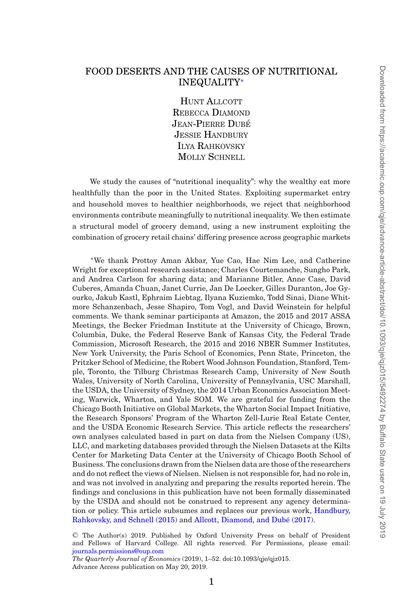# FOOD DESERTS AND THE CAUSES OF NUTRITIONAL INEQUALITY[∗](#page-0-0)

HUNT ALLCOTT REBECCA DIAMOND JEAN-PIERRE DUBÉ JESSIE HANDBURY ILYA RAHKOVSKY MOLLY SCHNELL

We study the causes of "nutritional inequality": why the wealthy eat more healthfully than the poor in the United States. Exploiting supermarket entry and household moves to healthier neighborhoods, we reject that neighborhood environments contribute meaningfully to nutritional inequality. We then estimate a structural model of grocery demand, using a new instrument exploiting the combination of grocery retail chains' differing presence across geographic markets

<span id="page-0-0"></span><sup>∗</sup>We thank Prottoy Aman Akbar, Yue Cao, Hae Nim Lee, and Catherine Wright for exceptional research assistance; Charles Courtemanche, Sungho Park, and Andrea Carlson for sharing data; and Marianne Bitler, Anne Case, David Cuberes, Amanda Chuan, Janet Currie, Jan De Loecker, Gilles Duranton, Joe Gyourko, Jakub Kastl, Ephraim Liebtag, Ilyana Kuziemko, Todd Sinai, Diane Whitmore Schanzenbach, Jesse Shapiro, Tom Vogl, and David Weinstein for helpful comments. We thank seminar participants at Amazon, the 2015 and 2017 ASSA Meetings, the Becker Friedman Institute at the University of Chicago, Brown, Columbia, Duke, the Federal Reserve Bank of Kansas City, the Federal Trade Commission, Microsoft Research, the 2015 and 2016 NBER Summer Institutes, New York University, the Paris School of Economics, Penn State, Princeton, the Pritzker School of Medicine, the Robert Wood Johnson Foundation, Stanford, Temple, Toronto, the Tilburg Christmas Research Camp, University of New South Wales, University of North Carolina, University of Pennsylvania, USC Marshall, the USDA, the University of Sydney, the 2014 Urban Economics Association Meeting, Warwick, Wharton, and Yale SOM. We are grateful for funding from the Chicago Booth Initiative on Global Markets, the Wharton Social Impact Initiative, the Research Sponsors' Program of the Wharton Zell-Lurie Real Estate Center, and the USDA Economic Research Service. This article reflects the researchers' own analyses calculated based in part on data from the Nielsen Company (US), LLC, and marketing databases provided through the Nielsen Datasets at the Kilts Center for Marketing Data Center at the University of Chicago Booth School of Business. The conclusions drawn from the Nielsen data are those of the researchers and do not reflect the views of Nielsen. Nielsen is not responsible for, had no role in, and was not involved in analyzing and preparing the results reported herein. The findings and conclusions in this publication have not been formally disseminated by the USDA and should not be construed to represent any agency determination or policy. This article subsumes and replaces our previous work, [Handbury,](#page-50-0) [Rahkovsky, and Schnell \(2015\)](#page-50-0) and Allcott, Diamond, and Dubé (2017).

<sup>C</sup> The Author(s) 2019. Published by Oxford University Press on behalf of President and Fellows of Harvard College. All rights reserved. For Permissions, please email: [journals.permissions@oup.com](mailto:journals.permissions@oup.com)

*The Quarterly Journal of Economics* (2019), 1–52. doi:10.1093/qje/qjz015. Advance Access publication on May 20, 2019.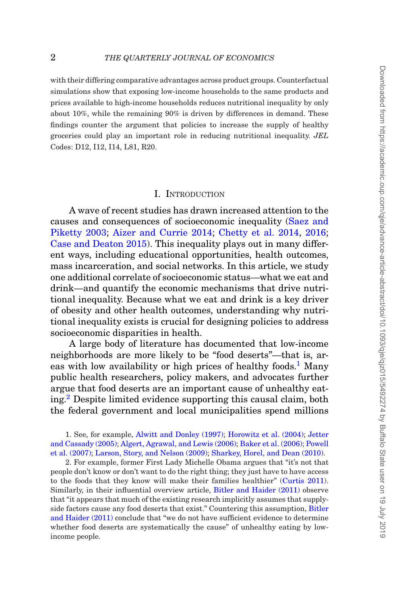with their differing comparative advantages across product groups. Counterfactual simulations show that exposing low-income households to the same products and prices available to high-income households reduces nutritional inequality by only about 10%, while the remaining 90% is driven by differences in demand. These findings counter the argument that policies to increase the supply of healthy groceries could play an important role in reducing nutritional inequality. *JEL* Codes: D12, I12, I14, L81, R20.

### I. INTRODUCTION

A wave of recent studies has drawn increased attention to the causes and consequences of socioeconomic inequality [\(Saez and](#page-51-0) [Piketty 2003;](#page-51-0) [Aizer and Currie 2014;](#page-47-0) [Chetty et al. 2014,](#page-48-1) [2016;](#page-48-2) [Case and Deaton 2015\)](#page-48-3). This inequality plays out in many different ways, including educational opportunities, health outcomes, mass incarceration, and social networks. In this article, we study one additional correlate of socioeconomic status—what we eat and drink—and quantify the economic mechanisms that drive nutritional inequality. Because what we eat and drink is a key driver of obesity and other health outcomes, understanding why nutritional inequality exists is crucial for designing policies to address socioeconomic disparities in health.

A large body of literature has documented that low-income neighborhoods are more likely to be "food deserts"—that is, areas with low availability or high prices of healthy foods.<sup>1</sup> Many public health researchers, policy makers, and advocates further argue that food deserts are an important cause of unhealthy eating.[2](#page-1-1) Despite limited evidence supporting this causal claim, both the federal government and local municipalities spend millions

<span id="page-1-0"></span>1. See, for example, [Alwitt and Donley \(1997\);](#page-48-4) [Horowitz et al. \(2004\);](#page-50-1) [Jetter](#page-50-2) [and Cassady \(2005\);](#page-50-2) [Algert, Agrawal, and Lewis \(2006\);](#page-48-5) [Baker et al. \(2006\);](#page-48-6) [Powell](#page-50-3) [et al. \(2007\);](#page-50-3) [Larson, Story, and Nelson \(2009\);](#page-50-4) [Sharkey, Horel, and Dean \(2010\).](#page-51-1)

<span id="page-1-1"></span>2. For example, former First Lady Michelle Obama argues that "it's not that people don't know or don't want to do the right thing; they just have to have access to the foods that they know will make their families healthier" [\(Curtis 2011\)](#page-49-0). Similarly, in their influential overview article, [Bitler and Haider \(2011\)](#page-48-7) observe that "it appears that much of the existing research implicitly assumes that supplyside factors cause any food deserts that exist." Countering this assumption, [Bitler](#page-48-7) [and Haider \(2011\)](#page-48-7) conclude that "we do not have sufficient evidence to determine whether food deserts are systematically the cause" of unhealthy eating by lowincome people.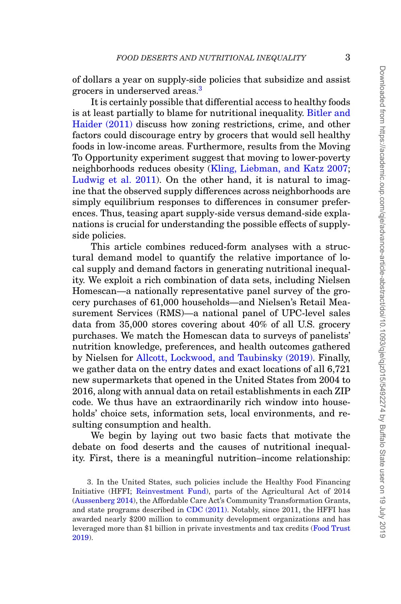of dollars a year on supply-side policies that subsidize and assist grocers in underserved areas.<sup>3</sup>

It is certainly possible that differential access to healthy foods is at least partially to blame for nutritional inequality. [Bitler and](#page-48-7) [Haider \(2011\)](#page-48-7) discuss how zoning restrictions, crime, and other factors could discourage entry by grocers that would sell healthy foods in low-income areas. Furthermore, results from the Moving To Opportunity experiment suggest that moving to lower-poverty neighborhoods reduces obesity [\(Kling, Liebman, and Katz 2007;](#page-50-5) [Ludwig et al. 2011\)](#page-50-6). On the other hand, it is natural to imagine that the observed supply differences across neighborhoods are simply equilibrium responses to differences in consumer preferences. Thus, teasing apart supply-side versus demand-side explanations is crucial for understanding the possible effects of supplyside policies.

This article combines reduced-form analyses with a structural demand model to quantify the relative importance of local supply and demand factors in generating nutritional inequality. We exploit a rich combination of data sets, including Nielsen Homescan—a nationally representative panel survey of the grocery purchases of 61,000 households—and Nielsen's Retail Measurement Services (RMS)—a national panel of UPC-level sales data from 35,000 stores covering about 40% of all U.S. grocery purchases. We match the Homescan data to surveys of panelists' nutrition knowledge, preferences, and health outcomes gathered by Nielsen for [Allcott, Lockwood, and Taubinsky \(2019\).](#page-48-8) Finally, we gather data on the entry dates and exact locations of all 6,721 new supermarkets that opened in the United States from 2004 to 2016, along with annual data on retail establishments in each ZIP code. We thus have an extraordinarily rich window into households' choice sets, information sets, local environments, and resulting consumption and health.

We begin by laying out two basic facts that motivate the debate on food deserts and the causes of nutritional inequality. First, there is a meaningful nutrition–income relationship:

<span id="page-2-0"></span><sup>3.</sup> In the United States, such policies include the Healthy Food Financing Initiative (HFFI; [Reinvestment Fund\)](#page-51-2), parts of the Agricultural Act of 2014 [\(Aussenberg 2014\)](#page-48-9), the Affordable Care Act's Community Transformation Grants, and state programs described in [CDC \(2011\).](#page-48-10) Notably, since 2011, the HFFI has awarded nearly \$200 million to community development organizations and has leveraged more than \$1 billion in private investments and tax credits [\(Food Trust](#page-49-1) [2019\)](#page-49-1).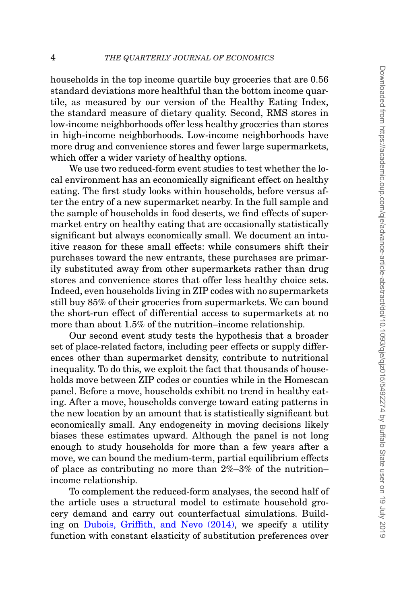households in the top income quartile buy groceries that are 0.56 standard deviations more healthful than the bottom income quartile, as measured by our version of the Healthy Eating Index, the standard measure of dietary quality. Second, RMS stores in low-income neighborhoods offer less healthy groceries than stores in high-income neighborhoods. Low-income neighborhoods have more drug and convenience stores and fewer large supermarkets, which offer a wider variety of healthy options.

We use two reduced-form event studies to test whether the local environment has an economically significant effect on healthy eating. The first study looks within households, before versus after the entry of a new supermarket nearby. In the full sample and the sample of households in food deserts, we find effects of supermarket entry on healthy eating that are occasionally statistically significant but always economically small. We document an intuitive reason for these small effects: while consumers shift their purchases toward the new entrants, these purchases are primarily substituted away from other supermarkets rather than drug stores and convenience stores that offer less healthy choice sets. Indeed, even households living in ZIP codes with no supermarkets still buy 85% of their groceries from supermarkets. We can bound the short-run effect of differential access to supermarkets at no more than about 1.5% of the nutrition–income relationship.

Our second event study tests the hypothesis that a broader set of place-related factors, including peer effects or supply differences other than supermarket density, contribute to nutritional inequality. To do this, we exploit the fact that thousands of households move between ZIP codes or counties while in the Homescan panel. Before a move, households exhibit no trend in healthy eating. After a move, households converge toward eating patterns in the new location by an amount that is statistically significant but economically small. Any endogeneity in moving decisions likely biases these estimates upward. Although the panel is not long enough to study households for more than a few years after a move, we can bound the medium-term, partial equilibrium effects of place as contributing no more than 2%–3% of the nutrition– income relationship.

To complement the reduced-form analyses, the second half of the article uses a structural model to estimate household grocery demand and carry out counterfactual simulations. Building on [Dubois, Griffith, and Nevo \(2014\),](#page-49-2) we specify a utility function with constant elasticity of substitution preferences over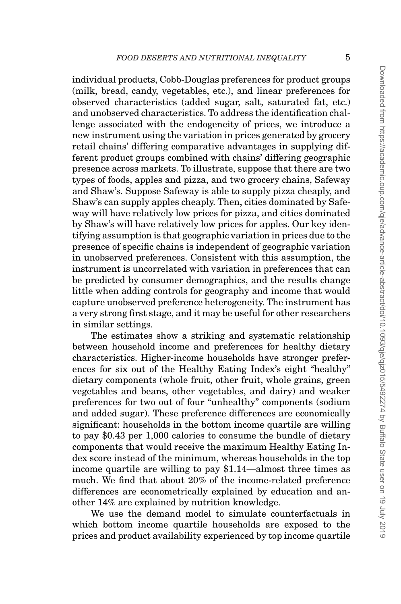individual products, Cobb-Douglas preferences for product groups (milk, bread, candy, vegetables, etc.), and linear preferences for observed characteristics (added sugar, salt, saturated fat, etc.) and unobserved characteristics. To address the identification challenge associated with the endogeneity of prices, we introduce a new instrument using the variation in prices generated by grocery retail chains' differing comparative advantages in supplying different product groups combined with chains' differing geographic presence across markets. To illustrate, suppose that there are two types of foods, apples and pizza, and two grocery chains, Safeway and Shaw's. Suppose Safeway is able to supply pizza cheaply, and Shaw's can supply apples cheaply. Then, cities dominated by Safeway will have relatively low prices for pizza, and cities dominated by Shaw's will have relatively low prices for apples. Our key identifying assumption is that geographic variation in prices due to the presence of specific chains is independent of geographic variation in unobserved preferences. Consistent with this assumption, the instrument is uncorrelated with variation in preferences that can be predicted by consumer demographics, and the results change little when adding controls for geography and income that would capture unobserved preference heterogeneity. The instrument has a very strong first stage, and it may be useful for other researchers in similar settings.

The estimates show a striking and systematic relationship between household income and preferences for healthy dietary characteristics. Higher-income households have stronger preferences for six out of the Healthy Eating Index's eight "healthy" dietary components (whole fruit, other fruit, whole grains, green vegetables and beans, other vegetables, and dairy) and weaker preferences for two out of four "unhealthy" components (sodium and added sugar). These preference differences are economically significant: households in the bottom income quartile are willing to pay \$0.43 per 1,000 calories to consume the bundle of dietary components that would receive the maximum Healthy Eating Index score instead of the minimum, whereas households in the top income quartile are willing to pay \$1.14—almost three times as much. We find that about 20% of the income-related preference differences are econometrically explained by education and another 14% are explained by nutrition knowledge.

We use the demand model to simulate counterfactuals in which bottom income quartile households are exposed to the prices and product availability experienced by top income quartile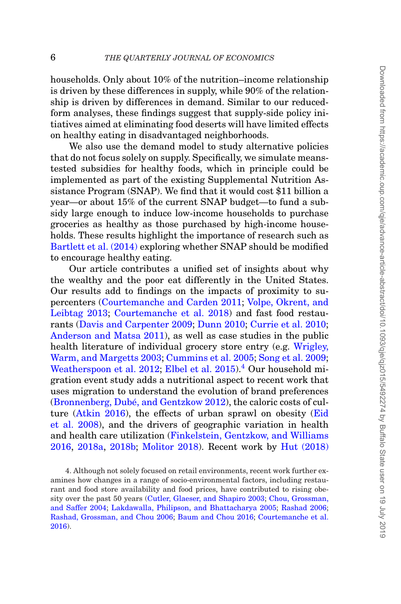households. Only about 10% of the nutrition–income relationship is driven by these differences in supply, while 90% of the relationship is driven by differences in demand. Similar to our reducedform analyses, these findings suggest that supply-side policy initiatives aimed at eliminating food deserts will have limited effects on healthy eating in disadvantaged neighborhoods.

We also use the demand model to study alternative policies that do not focus solely on supply. Specifically, we simulate meanstested subsidies for healthy foods, which in principle could be implemented as part of the existing Supplemental Nutrition Assistance Program (SNAP). We find that it would cost \$11 billion a year—or about 15% of the current SNAP budget—to fund a subsidy large enough to induce low-income households to purchase groceries as healthy as those purchased by high-income households. These results highlight the importance of research such as [Bartlett et al. \(2014\)](#page-48-11) exploring whether SNAP should be modified to encourage healthy eating.

Our article contributes a unified set of insights about why the wealthy and the poor eat differently in the United States. Our results add to findings on the impacts of proximity to supercenters [\(Courtemanche and Carden 2011;](#page-49-3) [Volpe, Okrent, and](#page-51-3) [Leibtag 2013;](#page-51-3) [Courtemanche et al. 2018\)](#page-49-4) and fast food restaurants [\(Davis and Carpenter 2009;](#page-49-5) [Dunn 2010;](#page-49-6) [Currie et al. 2010;](#page-49-7) [Anderson and Matsa 2011\)](#page-48-12), as well as case studies in the public health literature of individual grocery store entry (e.g. [Wrigley,](#page-51-4) [Warm, and Margetts 2003;](#page-51-4) [Cummins et al. 2005;](#page-49-8) [Song et al. 2009;](#page-51-5) [Weatherspoon et al. 2012;](#page-51-6) [Elbel et al. 2015\)](#page-49-9).<sup>[4](#page-5-0)</sup> Our household migration event study adds a nutritional aspect to recent work that uses migration to understand the evolution of brand preferences (Bronnenberg, Dubé, and Gentzkow  $2012$ ), the caloric costs of culture [\(Atkin 2016\)](#page-48-14), the effects of urban sprawl on obesity [\(Eid](#page-49-10) [et al. 2008\)](#page-49-10), and the drivers of geographic variation in health and health care utilization [\(Finkelstein, Gentzkow, and Williams](#page-49-11) [2016,](#page-49-11) [2018a,](#page-49-11) [2018b;](#page-49-12) [Molitor 2018\)](#page-50-7). Recent work by [Hut \(2018\)](#page-50-8)

<span id="page-5-0"></span>4. Although not solely focused on retail environments, recent work further examines how changes in a range of socio-environmental factors, including restaurant and food store availability and food prices, have contributed to rising obesity over the past 50 years [\(Cutler, Glaeser, and Shapiro 2003;](#page-49-13) [Chou, Grossman,](#page-49-14) [and Saffer 2004;](#page-49-14) [Lakdawalla, Philipson, and Bhattacharya 2005;](#page-50-9) [Rashad 2006;](#page-50-10) [Rashad, Grossman, and Chou 2006;](#page-50-11) [Baum and Chou 2016;](#page-48-15) [Courtemanche et al.](#page-49-15) [2016\)](#page-49-15).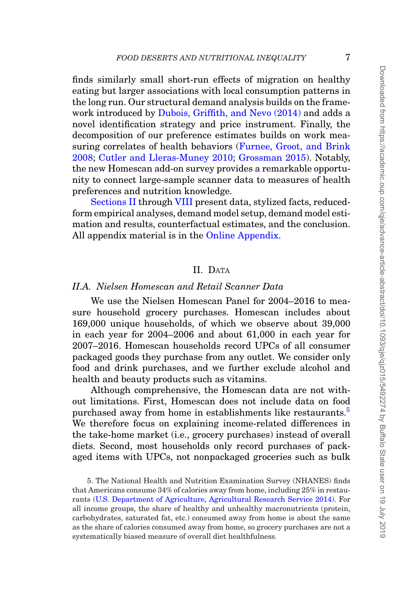finds similarly small short-run effects of migration on healthy eating but larger associations with local consumption patterns in the long run. Our structural demand analysis builds on the framework introduced by [Dubois, Griffith, and Nevo \(2014\)](#page-49-2) and adds a novel identification strategy and price instrument. Finally, the decomposition of our preference estimates builds on work mea-suring correlates of health behaviors [\(Furnee, Groot, and Brink](#page-49-16) [2008;](#page-49-16) [Cutler and Lleras-Muney 2010;](#page-49-17) [Grossman 2015\)](#page-50-12). Notably, the new Homescan add-on survey provides a remarkable opportunity to connect large-sample scanner data to measures of health preferences and nutrition knowledge.

[Sections II](#page-6-0) through [VIII](#page-46-0) present data, stylized facts, reducedform empirical analyses, demand model setup, demand model estimation and results, counterfactual estimates, and the conclusion. All appendix material is in the [Online Appendix.](file:qje.oxfordjournals.org)

## <span id="page-6-0"></span>II. DATA

## *II.A. Nielsen Homescan and Retail Scanner Data*

We use the Nielsen Homescan Panel for 2004–2016 to measure household grocery purchases. Homescan includes about 169,000 unique households, of which we observe about 39,000 in each year for 2004–2006 and about 61,000 in each year for 2007–2016. Homescan households record UPCs of all consumer packaged goods they purchase from any outlet. We consider only food and drink purchases, and we further exclude alcohol and health and beauty products such as vitamins.

Although comprehensive, the Homescan data are not without limitations. First, Homescan does not include data on food purchased away from home in establishments like restaurants.<sup>5</sup> We therefore focus on explaining income-related differences in the take-home market (i.e., grocery purchases) instead of overall diets. Second, most households only record purchases of packaged items with UPCs, not nonpackaged groceries such as bulk

<span id="page-6-1"></span>5. The National Health and Nutrition Examination Survey (NHANES) finds that Americans consume 34% of calories away from home, including 25% in restaurants [\(U.S. Department of Agriculture, Agricultural Research Service 2014\)](#page-51-7). For all income groups, the share of healthy and unhealthy macronutrients (protein, carbohydrates, saturated fat, etc.) consumed away from home is about the same as the share of calories consumed away from home, so grocery purchases are not a systematically biased measure of overall diet healthfulness.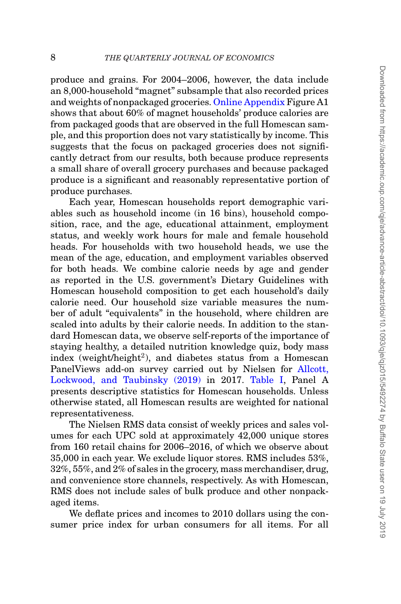produce and grains. For 2004–2006, however, the data include an 8,000-household "magnet" subsample that also recorded prices and weights of nonpackaged groceries. [Online Appendix](file:qje.oxfordjournals.org) Figure A1 shows that about 60% of magnet households' produce calories are from packaged goods that are observed in the full Homescan sample, and this proportion does not vary statistically by income. This suggests that the focus on packaged groceries does not significantly detract from our results, both because produce represents a small share of overall grocery purchases and because packaged produce is a significant and reasonably representative portion of produce purchases.

Each year, Homescan households report demographic variables such as household income (in 16 bins), household composition, race, and the age, educational attainment, employment status, and weekly work hours for male and female household heads. For households with two household heads, we use the mean of the age, education, and employment variables observed for both heads. We combine calorie needs by age and gender as reported in the U.S. government's Dietary Guidelines with Homescan household composition to get each household's daily calorie need. Our household size variable measures the number of adult "equivalents" in the household, where children are scaled into adults by their calorie needs. In addition to the standard Homescan data, we observe self-reports of the importance of staying healthy, a detailed nutrition knowledge quiz, body mass index (weight/height<sup>2</sup>), and diabetes status from a Homescan PanelViews add-on survey carried out by Nielsen for [Allcott,](#page-48-8) [Lockwood, and Taubinsky \(2019\)](#page-48-8) in 2017. [Table I,](#page-8-0) Panel A presents descriptive statistics for Homescan households. Unless otherwise stated, all Homescan results are weighted for national representativeness.

The Nielsen RMS data consist of weekly prices and sales volumes for each UPC sold at approximately 42,000 unique stores from 160 retail chains for 2006–2016, of which we observe about 35,000 in each year. We exclude liquor stores. RMS includes 53%, 32%, 55%, and 2% of sales in the grocery, mass merchandiser, drug, and convenience store channels, respectively. As with Homescan, RMS does not include sales of bulk produce and other nonpackaged items.

We deflate prices and incomes to 2010 dollars using the consumer price index for urban consumers for all items. For all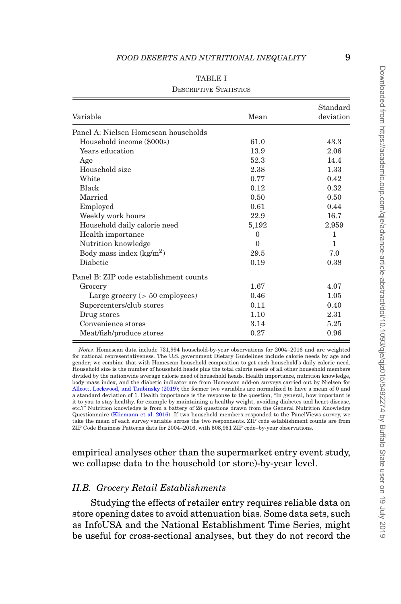<span id="page-8-0"></span>

| Variable                               | Mean     | Standard<br>deviation |
|----------------------------------------|----------|-----------------------|
| Panel A: Nielsen Homescan households   |          |                       |
| Household income (\$000s)              | 61.0     | 43.3                  |
| Years education                        | 13.9     | 2.06                  |
| Age                                    | 52.3     | 14.4                  |
| Household size                         | 2.38     | 1.33                  |
| White                                  | 0.77     | 0.42                  |
| Black                                  | 0.12     | 0.32                  |
| Married                                | 0.50     | 0.50                  |
| Employed                               | 0.61     | 0.44                  |
| Weekly work hours                      | 22.9     | 16.7                  |
| Household daily calorie need           | 5,192    | 2,959                 |
| Health importance                      | $\Omega$ | 1                     |
| Nutrition knowledge                    | $\Omega$ | 1                     |
| Body mass index $(kg/m^2)$             | 29.5     | 7.0                   |
| Diabetic                               | 0.19     | 0.38                  |
| Panel B: ZIP code establishment counts |          |                       |
| Grocery                                | 1.67     | 4.07                  |
| Large grocery $(> 50$ employees)       | 0.46     | 1.05                  |
| Supercenters/club stores               | 0.11     | 0.40                  |
| Drug stores                            | 1.10     | 2.31                  |
| Convenience stores                     | 3.14     | 5.25                  |
| Meat/fish/produce stores               | 0.27     | 0.96                  |

#### TABLE I

#### DESCRIPTIVE STATISTICS

*Notes.* Homescan data include 731,994 household-by-year observations for 2004–2016 and are weighted for national representativeness. The U.S. government Dietary Guidelines include calorie needs by age and gender; we combine that with Homescan household composition to get each household's daily calorie need. Household size is the number of household heads plus the total calorie needs of all other household members divided by the nationwide average calorie need of household heads. Health importance, nutrition knowledge, body mass index, and the diabetic indicator are from Homescan add-on surveys carried out by Nielsen for [Allcott, Lockwood, and Taubinsky \(2019\);](#page-48-8) the former two variables are normalized to have a mean of 0 and a standard deviation of 1. Health importance is the response to the question, "In general, how important is it to you to stay healthy, for example by maintaining a healthy weight, avoiding diabetes and heart disease, etc.?" Nutrition knowledge is from a battery of 28 questions drawn from the General Nutrition Knowledge Questionnaire [\(Kliemann et al. 2016\)](#page-50-13). If two household members responded to the PanelViews survey, we take the mean of each survey variable across the two respondents. ZIP code establishment counts are from ZIP Code Business Patterns data for 2004–2016, with 508,951 ZIP code–by-year observations.

empirical analyses other than the supermarket entry event study, we collapse data to the household (or store)-by-year level.

#### *II.B. Grocery Retail Establishments*

Studying the effects of retailer entry requires reliable data on store opening dates to avoid attenuation bias. Some data sets, such as InfoUSA and the National Establishment Time Series, might be useful for cross-sectional analyses, but they do not record the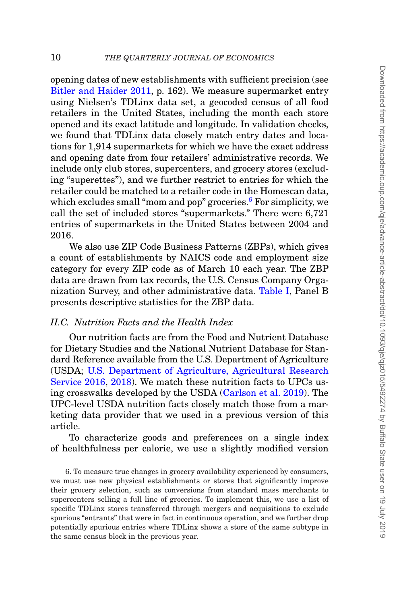opening dates of new establishments with sufficient precision (see [Bitler and Haider 2011,](#page-48-7) p. 162). We measure supermarket entry using Nielsen's TDLinx data set, a geocoded census of all food retailers in the United States, including the month each store opened and its exact latitude and longitude. In validation checks, we found that TDLinx data closely match entry dates and locations for 1,914 supermarkets for which we have the exact address and opening date from four retailers' administrative records. We include only club stores, supercenters, and grocery stores (excluding "superettes"), and we further restrict to entries for which the retailer could be matched to a retailer code in the Homescan data, which excludes small "mom and pop" groceries. $6$  For simplicity, we call the set of included stores "supermarkets." There were 6,721 entries of supermarkets in the United States between 2004 and 2016.

We also use ZIP Code Business Patterns (ZBPs), which gives a count of establishments by NAICS code and employment size category for every ZIP code as of March 10 each year. The ZBP data are drawn from tax records, the U.S. Census Company Organization Survey, and other administrative data. [Table I,](#page-8-0) Panel B presents descriptive statistics for the ZBP data.

## *II.C. Nutrition Facts and the Health Index*

Our nutrition facts are from the Food and Nutrient Database for Dietary Studies and the National Nutrient Database for Standard Reference available from the U.S. Department of Agriculture (USDA; [U.S. Department of Agriculture, Agricultural Research](#page-51-8) [Service 2016,](#page-51-8) [2018\)](#page-51-9). We match these nutrition facts to UPCs using crosswalks developed by the USDA [\(Carlson et al. 2019\)](#page-48-16). The UPC-level USDA nutrition facts closely match those from a marketing data provider that we used in a previous version of this article.

To characterize goods and preferences on a single index of healthfulness per calorie, we use a slightly modified version

<span id="page-9-0"></span>6. To measure true changes in grocery availability experienced by consumers, we must use new physical establishments or stores that significantly improve their grocery selection, such as conversions from standard mass merchants to supercenters selling a full line of groceries. To implement this, we use a list of specific TDLinx stores transferred through mergers and acquisitions to exclude spurious "entrants" that were in fact in continuous operation, and we further drop potentially spurious entries where TDLinx shows a store of the same subtype in the same census block in the previous year.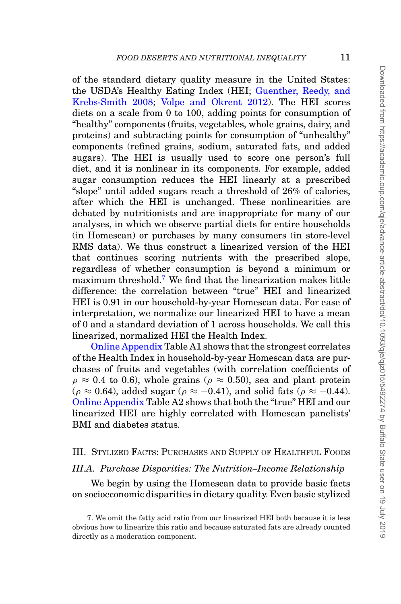of the standard dietary quality measure in the United States: the USDA's Healthy Eating Index (HEI; [Guenther, Reedy, and](#page-50-14) [Krebs-Smith 2008;](#page-50-14) [Volpe and Okrent 2012\)](#page-51-10). The HEI scores diets on a scale from 0 to 100, adding points for consumption of "healthy" components (fruits, vegetables, whole grains, dairy, and proteins) and subtracting points for consumption of "unhealthy" components (refined grains, sodium, saturated fats, and added sugars). The HEI is usually used to score one person's full diet, and it is nonlinear in its components. For example, added sugar consumption reduces the HEI linearly at a prescribed "slope" until added sugars reach a threshold of 26% of calories, after which the HEI is unchanged. These nonlinearities are debated by nutritionists and are inappropriate for many of our analyses, in which we observe partial diets for entire households (in Homescan) or purchases by many consumers (in store-level RMS data). We thus construct a linearized version of the HEI that continues scoring nutrients with the prescribed slope, regardless of whether consumption is beyond a minimum or maximum threshold.[7](#page-10-0) We find that the linearization makes little difference: the correlation between "true" HEI and linearized HEI is 0.91 in our household-by-year Homescan data. For ease of interpretation, we normalize our linearized HEI to have a mean of 0 and a standard deviation of 1 across households. We call this linearized, normalized HEI the Health Index.

[Online Appendix](file:qje.oxfordjournals.org) Table A1 shows that the strongest correlates of the Health Index in household-by-year Homescan data are purchases of fruits and vegetables (with correlation coefficients of  $\rho \approx 0.4$  to 0.6), whole grains ( $\rho \approx 0.50$ ), sea and plant protein  $(\rho \approx 0.64)$ , added sugar ( $\rho \approx -0.41$ ), and solid fats ( $\rho \approx -0.44$ ). [Online Appendix](file:qje.oxfordjournals.org) Table A2 shows that both the "true" HEI and our linearized HEI are highly correlated with Homescan panelists' BMI and diabetes status.

### III. STYLIZED FACTS: PURCHASES AND SUPPLY OF HEALTHFUL FOODS

#### *III.A. Purchase Disparities: The Nutrition–Income Relationship*

<span id="page-10-1"></span>We begin by using the Homescan data to provide basic facts on socioeconomic disparities in dietary quality. Even basic stylized

<span id="page-10-0"></span><sup>7.</sup> We omit the fatty acid ratio from our linearized HEI both because it is less obvious how to linearize this ratio and because saturated fats are already counted directly as a moderation component.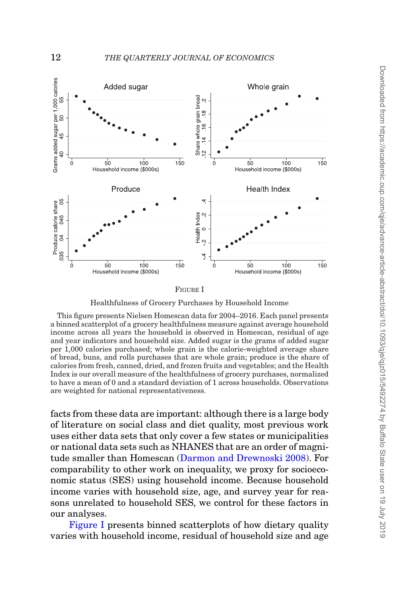<span id="page-11-0"></span>

FIGURE I

Healthfulness of Grocery Purchases by Household Income

This figure presents Nielsen Homescan data for 2004–2016. Each panel presents a binned scatterplot of a grocery healthfulness measure against average household income across all years the household is observed in Homescan, residual of age and year indicators and household size. Added sugar is the grams of added sugar per 1,000 calories purchased; whole grain is the calorie-weighted average share of bread, buns, and rolls purchases that are whole grain; produce is the share of calories from fresh, canned, dried, and frozen fruits and vegetables; and the Health Index is our overall measure of the healthfulness of grocery purchases, normalized to have a mean of 0 and a standard deviation of 1 across households. Observations are weighted for national representativeness.

facts from these data are important: although there is a large body of literature on social class and diet quality, most previous work uses either data sets that only cover a few states or municipalities or national data sets such as NHANES that are an order of magnitude smaller than Homescan [\(Darmon and Drewnoski 2008\)](#page-49-18). For comparability to other work on inequality, we proxy for socioeconomic status (SES) using household income. Because household income varies with household size, age, and survey year for reasons unrelated to household SES, we control for these factors in our analyses.

[Figure I](#page-11-0) presents binned scatterplots of how dietary quality varies with household income, residual of household size and age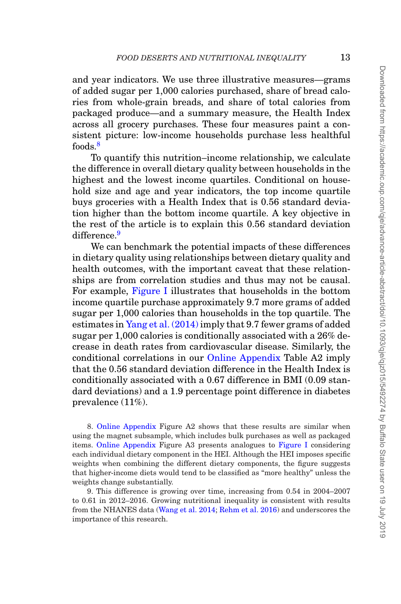and year indicators. We use three illustrative measures—grams of added sugar per 1,000 calories purchased, share of bread calories from whole-grain breads, and share of total calories from packaged produce—and a summary measure, the Health Index across all grocery purchases. These four measures paint a consistent picture: low-income households purchase less healthful foods<sup>[8](#page-12-0)</sup>

To quantify this nutrition–income relationship, we calculate the difference in overall dietary quality between households in the highest and the lowest income quartiles. Conditional on household size and age and year indicators, the top income quartile buys groceries with a Health Index that is 0.56 standard deviation higher than the bottom income quartile. A key objective in the rest of the article is to explain this 0.56 standard deviation difference.<sup>[9](#page-12-1)</sup>

We can benchmark the potential impacts of these differences in dietary quality using relationships between dietary quality and health outcomes, with the important caveat that these relationships are from correlation studies and thus may not be causal. For example, [Figure I](#page-11-0) illustrates that households in the bottom income quartile purchase approximately 9.7 more grams of added sugar per 1,000 calories than households in the top quartile. The estimates in [Yang et al. \(2014\)](#page-51-11) imply that 9.7 fewer grams of added sugar per 1,000 calories is conditionally associated with a 26% decrease in death rates from cardiovascular disease. Similarly, the conditional correlations in our [Online Appendix](file:qje.oxfordjournals.org) Table A2 imply that the 0.56 standard deviation difference in the Health Index is conditionally associated with a 0.67 difference in BMI (0.09 standard deviations) and a 1.9 percentage point difference in diabetes prevalence (11%).

<span id="page-12-0"></span>8. [Online Appendix](file:qje.oxfordjournals.org) Figure A2 shows that these results are similar when using the magnet subsample, which includes bulk purchases as well as packaged items. [Online Appendix](file:qje.oxfordjournals.org) Figure A3 presents analogues to [Figure I](#page-11-0) considering each individual dietary component in the HEI. Although the HEI imposes specific weights when combining the different dietary components, the figure suggests that higher-income diets would tend to be classified as "more healthy" unless the weights change substantially.

<span id="page-12-1"></span>9. This difference is growing over time, increasing from 0.54 in 2004–2007 to 0.61 in 2012–2016. Growing nutritional inequality is consistent with results from the NHANES data [\(Wang et al. 2014;](#page-51-12) [Rehm et al. 2016\)](#page-51-13) and underscores the importance of this research.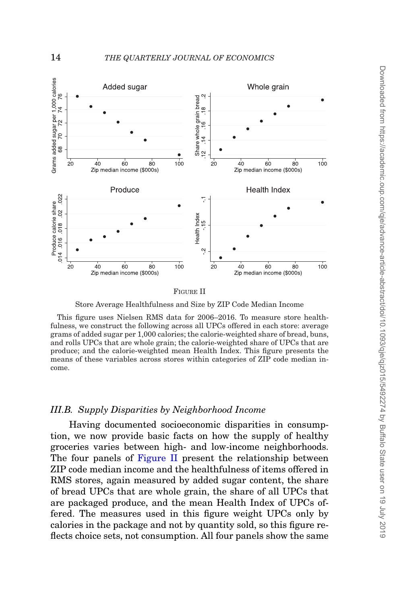<span id="page-13-0"></span>

FIGURE II

Store Average Healthfulness and Size by ZIP Code Median Income

This figure uses Nielsen RMS data for 2006–2016. To measure store healthfulness, we construct the following across all UPCs offered in each store: average grams of added sugar per 1,000 calories; the calorie-weighted share of bread, buns, and rolls UPCs that are whole grain; the calorie-weighted share of UPCs that are produce; and the calorie-weighted mean Health Index. This figure presents the means of these variables across stores within categories of ZIP code median income.

### *III.B. Supply Disparities by Neighborhood Income*

Having documented socioeconomic disparities in consumption, we now provide basic facts on how the supply of healthy groceries varies between high- and low-income neighborhoods. The four panels of [Figure II](#page-13-0) present the relationship between ZIP code median income and the healthfulness of items offered in RMS stores, again measured by added sugar content, the share of bread UPCs that are whole grain, the share of all UPCs that are packaged produce, and the mean Health Index of UPCs offered. The measures used in this figure weight UPCs only by calories in the package and not by quantity sold, so this figure reflects choice sets, not consumption. All four panels show the same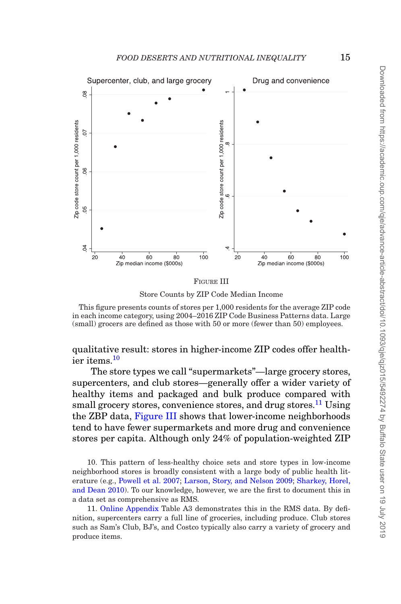<span id="page-14-2"></span>

FIGURE III

Store Counts by ZIP Code Median Income

This figure presents counts of stores per 1,000 residents for the average ZIP code in each income category, using 2004–2016 ZIP Code Business Patterns data. Large (small) grocers are defined as those with 50 or more (fewer than 50) employees.

qualitative result: stores in higher-income ZIP codes offer healthier items.[10](#page-14-0)

The store types we call "supermarkets"—large grocery stores, supercenters, and club stores—generally offer a wider variety of healthy items and packaged and bulk produce compared with small grocery stores, convenience stores, and drug stores.<sup>11</sup> Using the ZBP data, [Figure III](#page-14-2) shows that lower-income neighborhoods tend to have fewer supermarkets and more drug and convenience stores per capita. Although only 24% of population-weighted ZIP

<span id="page-14-0"></span>10. This pattern of less-healthy choice sets and store types in low-income neighborhood stores is broadly consistent with a large body of public health literature (e.g., [Powell et al. 2007;](#page-50-3) [Larson, Story, and Nelson 2009;](#page-50-4) [Sharkey, Horel,](#page-51-1) [and Dean 2010\)](#page-51-1). To our knowledge, however, we are the first to document this in a data set as comprehensive as RMS.

<span id="page-14-1"></span>11. [Online Appendix](file:qje.oxfordjournals.org) Table A3 demonstrates this in the RMS data. By definition, supercenters carry a full line of groceries, including produce. Club stores such as Sam's Club, BJ's, and Costco typically also carry a variety of grocery and produce items.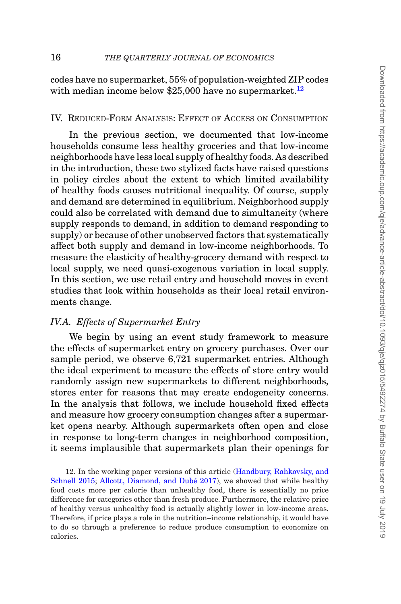codes have no supermarket, 55% of population-weighted ZIP codes with median income below  $$25,000$  have no supermarket.<sup>12</sup>

## <span id="page-15-2"></span>IV. REDUCED-FORM ANALYSIS: EFFECT OF ACCESS ON CONSUMPTION

In the previous section, we documented that low-income households consume less healthy groceries and that low-income neighborhoods have less local supply of healthy foods. As described in the introduction, these two stylized facts have raised questions in policy circles about the extent to which limited availability of healthy foods causes nutritional inequality. Of course, supply and demand are determined in equilibrium. Neighborhood supply could also be correlated with demand due to simultaneity (where supply responds to demand, in addition to demand responding to supply) or because of other unobserved factors that systematically affect both supply and demand in low-income neighborhoods. To measure the elasticity of healthy-grocery demand with respect to local supply, we need quasi-exogenous variation in local supply. In this section, we use retail entry and household moves in event studies that look within households as their local retail environments change.

#### *IV.A. Effects of Supermarket Entry*

<span id="page-15-1"></span>We begin by using an event study framework to measure the effects of supermarket entry on grocery purchases. Over our sample period, we observe 6,721 supermarket entries. Although the ideal experiment to measure the effects of store entry would randomly assign new supermarkets to different neighborhoods, stores enter for reasons that may create endogeneity concerns. In the analysis that follows, we include household fixed effects and measure how grocery consumption changes after a supermarket opens nearby. Although supermarkets often open and close in response to long-term changes in neighborhood composition, it seems implausible that supermarkets plan their openings for

<span id="page-15-0"></span>12. In the working paper versions of this article [\(Handbury, Rahkovsky, and](#page-50-0) [Schnell 2015;](#page-50-0) Allcott, Diamond, and Dubé 2017), we showed that while healthy food costs more per calorie than unhealthy food, there is essentially no price difference for categories other than fresh produce. Furthermore, the relative price of healthy versus unhealthy food is actually slightly lower in low-income areas. Therefore, if price plays a role in the nutrition–income relationship, it would have to do so through a preference to reduce produce consumption to economize on calories.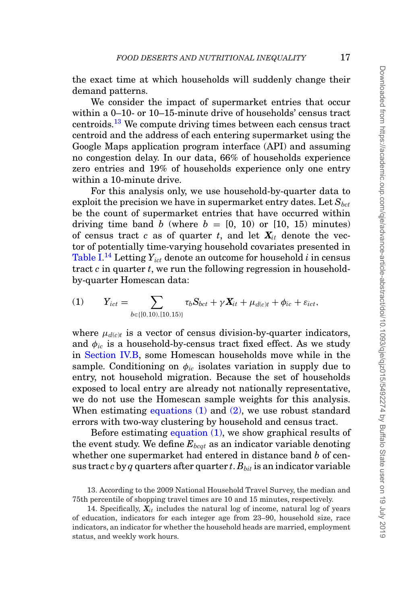the exact time at which households will suddenly change their demand patterns.

We consider the impact of supermarket entries that occur within a 0–10- or 10–15-minute drive of households' census tract centroids.[13](#page-16-0) We compute driving times between each census tract centroid and the address of each entering supermarket using the Google Maps application program interface (API) and assuming no congestion delay. In our data, 66% of households experience zero entries and 19% of households experience only one entry within a 10-minute drive.

For this analysis only, we use household-by-quarter data to exploit the precision we have in supermarket entry dates. Let  $S_{\text{bct}}$ be the count of supermarket entries that have occurred within driving time band *b* (where  $b = [0, 10)$  or [10, 15) minutes) of census tract *c* as of quarter *t*, and let  $X_{it}$  denote the vector of potentially time-varying household covariates presented in  $\text{Table I.}^{\text{14}}$  $\text{Table I.}^{\text{14}}$  $\text{Table I.}^{\text{14}}$  $\text{Table I.}^{\text{14}}$  $\text{Table I.}^{\text{14}}$  Letting  $Y_{ict}$  denote an outcome for household  $i$  in census tract *c* in quarter *t*, we run the following regression in householdby-quarter Homescan data:

(1) 
$$
Y_{ict} = \sum_{b \in \{[0,10), [10,15)\}} \tau_b S_{bct} + \gamma X_{it} + \mu_{d(ct)} + \phi_{ic} + \varepsilon_{ict},
$$

where  $\mu_{d(c)t}$  is a vector of census division-by-quarter indicators, and  $\phi_{ic}$  is a household-by-census tract fixed effect. As we study in [Section IV.B,](#page-22-0) some Homescan households move while in the sample. Conditioning on  $\phi_{ic}$  isolates variation in supply due to entry, not household migration. Because the set of households exposed to local entry are already not nationally representative, we do not use the Homescan sample weights for this analysis. When estimating equations  $(1)$  and  $(2)$ , we use robust standard errors with two-way clustering by household and census tract.

Before estimating equation (1), we show graphical results of the event study. We define  $E_{b, cat}$  as an indicator variable denoting whether one supermarket had entered in distance band *b* of census tract  $c$  by  $q$  quarters after quarter  $t$ .  $B_{bit}$  is an indicator variable

<span id="page-16-0"></span><sup>13.</sup> According to the 2009 National Household Travel Survey, the median and 75th percentile of shopping travel times are 10 and 15 minutes, respectively.

<span id="page-16-1"></span><sup>14.</sup> Specifically,  $X_{it}$  includes the natural log of income, natural log of years of education, indicators for each integer age from 23–90, household size, race indicators, an indicator for whether the household heads are married, employment status, and weekly work hours.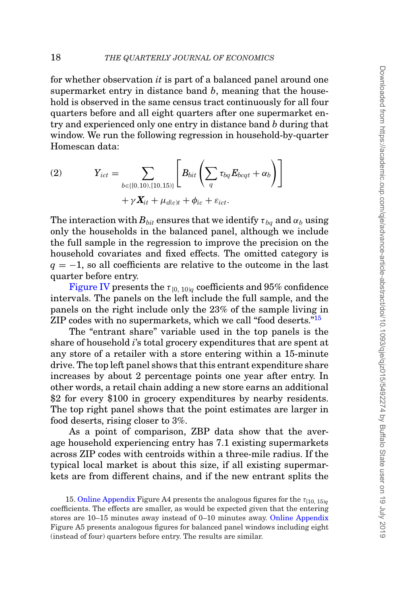for whether observation *it* is part of a balanced panel around one supermarket entry in distance band *b*, meaning that the household is observed in the same census tract continuously for all four quarters before and all eight quarters after one supermarket entry and experienced only one entry in distance band *b* during that window. We run the following regression in household-by-quarter Homescan data:

<span id="page-17-0"></span>(2) 
$$
Y_{ict} = \sum_{b \in \{[0,10), [10,15)\}} \left[ B_{bit} \left( \sum_{q} \tau_{bq} E_{bcqt} + \alpha_b \right) \right] + \gamma \, \mathbf{X}_{it} + \mu_{d(c)t} + \phi_{ic} + \varepsilon_{ict}.
$$

The interaction with  $B_{bit}$  ensures that we identify  $\tau_{ba}$  and  $\alpha_b$  using only the households in the balanced panel, although we include the full sample in the regression to improve the precision on the household covariates and fixed effects. The omitted category is  $q = -1$ , so all coefficients are relative to the outcome in the last quarter before entry.

[Figure IV](#page-18-0) presents the  $\tau_{[0, 10)}$  coefficients and 95% confidence intervals. The panels on the left include the full sample, and the panels on the right include only the 23% of the sample living in ZIP codes with no supermarkets, which we call "food deserts."<sup>15</sup>

The "entrant share" variable used in the top panels is the share of household *i*'s total grocery expenditures that are spent at any store of a retailer with a store entering within a 15-minute drive. The top left panel shows that this entrant expenditure share increases by about 2 percentage points one year after entry. In other words, a retail chain adding a new store earns an additional \$2 for every \$100 in grocery expenditures by nearby residents. The top right panel shows that the point estimates are larger in food deserts, rising closer to 3%.

As a point of comparison, ZBP data show that the average household experiencing entry has 7.1 existing supermarkets across ZIP codes with centroids within a three-mile radius. If the typical local market is about this size, if all existing supermarkets are from different chains, and if the new entrant splits the

<span id="page-17-1"></span>15. [Online Appendix](file:qje.oxfordjournals.org) Figure A4 presents the analogous figures for the  $\tau_{[10, 15)\alpha}$ coefficients. The effects are smaller, as would be expected given that the entering stores are 10–15 minutes away instead of 0–10 minutes away. [Online Appendix](file:qje.oxfordjournals.org) Figure A5 presents analogous figures for balanced panel windows including eight (instead of four) quarters before entry. The results are similar.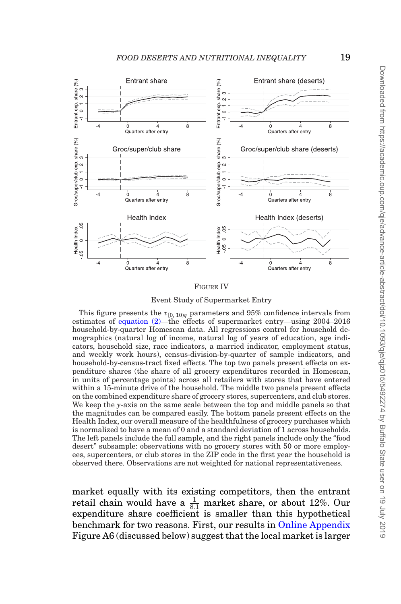<span id="page-18-0"></span>

#### FIGURE IV

Event Study of Supermarket Entry

This figure presents the  $\tau_{[0, 10)q}$  parameters and 95% confidence intervals from estimates of [equation \(2\)—](#page-17-0)the effects of supermarket entry—using 2004–2016 household-by-quarter Homescan data. All regressions control for household demographics (natural log of income, natural log of years of education, age indicators, household size, race indicators, a married indicator, employment status, and weekly work hours), census-division-by-quarter of sample indicators, and household-by-census-tract fixed effects. The top two panels present effects on expenditure shares (the share of all grocery expenditures recorded in Homescan, in units of percentage points) across all retailers with stores that have entered within a 15-minute drive of the household. The middle two panels present effects on the combined expenditure share of grocery stores, supercenters, and club stores. We keep the *y*-axis on the same scale between the top and middle panels so that the magnitudes can be compared easily. The bottom panels present effects on the Health Index, our overall measure of the healthfulness of grocery purchases which is normalized to have a mean of 0 and a standard deviation of 1 across households. The left panels include the full sample, and the right panels include only the "food desert" subsample: observations with no grocery stores with 50 or more employees, supercenters, or club stores in the ZIP code in the first year the household is observed there. Observations are not weighted for national representativeness.

market equally with its existing competitors, then the entrant retail chain would have a  $\frac{1}{8.1}$  market share, or about 12%. Our expenditure share coefficient is smaller than this hypothetical benchmark for two reasons. First, our results in [Online Appendix](file:qje.oxfordjournals.org) Figure A6 (discussed below) suggest that the local market is larger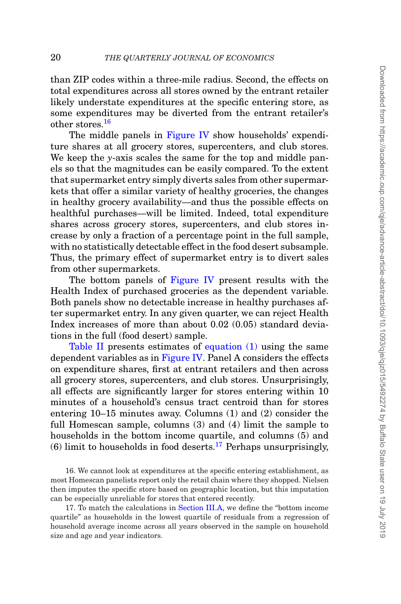than ZIP codes within a three-mile radius. Second, the effects on total expenditures across all stores owned by the entrant retailer likely understate expenditures at the specific entering store, as some expenditures may be diverted from the entrant retailer's other stores.<sup>[16](#page-19-0)</sup>

The middle panels in [Figure IV](#page-18-0) show households' expenditure shares at all grocery stores, supercenters, and club stores. We keep the *y*-axis scales the same for the top and middle panels so that the magnitudes can be easily compared. To the extent that supermarket entry simply diverts sales from other supermarkets that offer a similar variety of healthy groceries, the changes in healthy grocery availability—and thus the possible effects on healthful purchases—will be limited. Indeed, total expenditure shares across grocery stores, supercenters, and club stores increase by only a fraction of a percentage point in the full sample, with no statistically detectable effect in the food desert subsample. Thus, the primary effect of supermarket entry is to divert sales from other supermarkets.

The bottom panels of [Figure IV](#page-18-0) present results with the Health Index of purchased groceries as the dependent variable. Both panels show no detectable increase in healthy purchases after supermarket entry. In any given quarter, we can reject Health Index increases of more than about 0.02 (0.05) standard deviations in the full (food desert) sample.

[Table II](#page-20-0) presents estimates of equation (1) using the same dependent variables as in [Figure IV.](#page-18-0) Panel A considers the effects on expenditure shares, first at entrant retailers and then across all grocery stores, supercenters, and club stores. Unsurprisingly, all effects are significantly larger for stores entering within 10 minutes of a household's census tract centroid than for stores entering 10–15 minutes away. Columns (1) and (2) consider the full Homescan sample, columns (3) and (4) limit the sample to households in the bottom income quartile, and columns (5) and (6) limit to households in food deserts.<sup>17</sup> Perhaps unsurprisingly,

<span id="page-19-0"></span>16. We cannot look at expenditures at the specific entering establishment, as most Homescan panelists report only the retail chain where they shopped. Nielsen then imputes the specific store based on geographic location, but this imputation can be especially unreliable for stores that entered recently.

<span id="page-19-1"></span>17. To match the calculations in [Section III.A,](#page-10-1) we define the "bottom income quartile" as households in the lowest quartile of residuals from a regression of household average income across all years observed in the sample on household size and age and year indicators.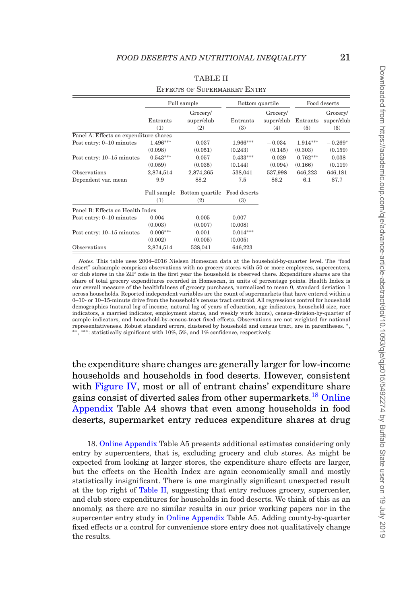<span id="page-20-0"></span>

|                                        | Full sample     |                               | Bottom quartile |                               | Food deserts    |                               |
|----------------------------------------|-----------------|-------------------------------|-----------------|-------------------------------|-----------------|-------------------------------|
|                                        | Entrants<br>(1) | Grocery/<br>super/club<br>(2) | Entrants<br>(3) | Grocery/<br>super/club<br>(4) | Entrants<br>(5) | Grocery/<br>super/club<br>(6) |
| Panel A: Effects on expenditure shares |                 |                               |                 |                               |                 |                               |
| Post entry: 0-10 minutes               | $1.496***$      | 0.037                         | $1.966***$      | $-0.034$                      | $1.914***$      | $-0.269*$                     |
|                                        | (0.098)         | (0.051)                       | (0.243)         | (0.145)                       | (0.303)         | (0.159)                       |
| Post entry: 10-15 minutes              | $0.543***$      | $-0.057$                      | $0.433***$      | $-0.029$                      | $0.762***$      | $-0.038$                      |
|                                        | (0.059)         | (0.035)                       | (0.144)         | (0.094)                       | (0.166)         | (0.119)                       |
| Observations                           | 2,874,514       | 2,874,365                     | 538,041         | 537,998                       | 646,223         | 646,181                       |
| Dependent var. mean                    | 9.9             | 88.2                          | 7.5             | 86.2                          | 6.1             | 87.7                          |
|                                        | Full sample     | Bottom quartile               | Food deserts    |                               |                 |                               |
|                                        | (1)             | (2)                           | (3)             |                               |                 |                               |
| Panel B: Effects on Health Index       |                 |                               |                 |                               |                 |                               |
| Post entry: 0-10 minutes               | 0.004           | 0.005                         | 0.007           |                               |                 |                               |
|                                        | (0.003)         | (0.007)                       | (0.008)         |                               |                 |                               |
| Post entry: 10-15 minutes              | $0.006***$      | 0.001                         | $0.014***$      |                               |                 |                               |
|                                        | (0.002)         | (0.005)                       | (0.005)         |                               |                 |                               |
| Observations                           | 2,874,514       | 538,041                       | 646,223         |                               |                 |                               |

#### TABLE II

#### EFFECTS OF SUPERMARKET ENTRY

*Notes.* This table uses 2004–2016 Nielsen Homescan data at the household-by-quarter level. The "food desert" subsample comprises observations with no grocery stores with 50 or more employees, supercenters, or club stores in the ZIP code in the first year the household is observed there. Expenditure shares are the share of total grocery expenditures recorded in Homescan, in units of percentage points. Health Index is our overall measure of the healthfulness of grocery purchases, normalized to mean 0, standard deviation 1 across households. Reported independent variables are the count of supermarkets that have entered within a 0–10- or 10–15-minute drive from the household's census tract centroid. All regressions control for household demographics (natural log of income, natural log of years of education, age indicators, household size, race indicators, a married indicator, employment status, and weekly work hours), census-division-by-quarter of sample indicators, and household-by-census-tract fixed effects. Observations are not weighted for national representativeness. Robust standard errors, clustered by household and census tract, are in parentheses. <sup>∗</sup>, ∗∗, ∗∗∗: statistically significant with 10%, 5%, and 1% confidence, respectively.

the expenditure share changes are generally larger for low-income households and households in food deserts. However, consistent with [Figure IV,](#page-18-0) most or all of entrant chains' expenditure share gains consist of diverted sales from other supermarkets.<sup>[18](#page-20-1)</sup> [Online](file:qje.oxfordjournals.org) [Appendix](file:qje.oxfordjournals.org) Table A4 shows that even among households in food deserts, supermarket entry reduces expenditure shares at drug

<span id="page-20-1"></span>18. [Online Appendix](file:qje.oxfordjournals.org) Table A5 presents additional estimates considering only entry by supercenters, that is, excluding grocery and club stores. As might be expected from looking at larger stores, the expenditure share effects are larger, but the effects on the Health Index are again economically small and mostly statistically insignificant. There is one marginally significant unexpected result at the top right of [Table II,](#page-20-0) suggesting that entry reduces grocery, supercenter, and club store expenditures for households in food deserts. We think of this as an anomaly, as there are no similar results in our prior working papers nor in the supercenter entry study in [Online Appendix](file:qje.oxfordjournals.org) Table A5. Adding county-by-quarter fixed effects or a control for convenience store entry does not qualitatively change the results.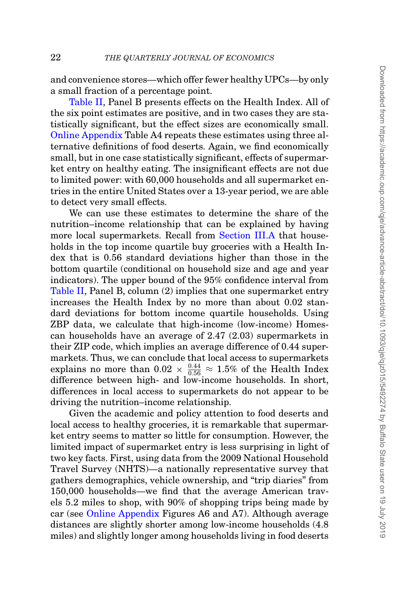and convenience stores—which offer fewer healthy UPCs—by only a small fraction of a percentage point.

[Table II,](#page-20-0) Panel B presents effects on the Health Index. All of the six point estimates are positive, and in two cases they are statistically significant, but the effect sizes are economically small. [Online Appendix](file:qje.oxfordjournals.org) Table A4 repeats these estimates using three alternative definitions of food deserts. Again, we find economically small, but in one case statistically significant, effects of supermarket entry on healthy eating. The insignificant effects are not due to limited power: with 60,000 households and all supermarket entries in the entire United States over a 13-year period, we are able to detect very small effects.

We can use these estimates to determine the share of the nutrition–income relationship that can be explained by having more local supermarkets. Recall from [Section III.A](#page-10-1) that households in the top income quartile buy groceries with a Health Index that is 0.56 standard deviations higher than those in the bottom quartile (conditional on household size and age and year indicators). The upper bound of the 95% confidence interval from [Table II,](#page-20-0) Panel B, column (2) implies that one supermarket entry increases the Health Index by no more than about 0.02 standard deviations for bottom income quartile households. Using ZBP data, we calculate that high-income (low-income) Homescan households have an average of 2.47 (2.03) supermarkets in their ZIP code, which implies an average difference of 0.44 supermarkets. Thus, we can conclude that local access to supermarkets explains no more than  $0.02 \times \frac{0.44}{0.56} \approx 1.5\%$  of the Health Index difference between high- and low-income households. In short, differences in local access to supermarkets do not appear to be driving the nutrition–income relationship.

Given the academic and policy attention to food deserts and local access to healthy groceries, it is remarkable that supermarket entry seems to matter so little for consumption. However, the limited impact of supermarket entry is less surprising in light of two key facts. First, using data from the 2009 National Household Travel Survey (NHTS)—a nationally representative survey that gathers demographics, vehicle ownership, and "trip diaries" from 150,000 households—we find that the average American travels 5.2 miles to shop, with 90% of shopping trips being made by car (see [Online Appendix](file:qje.oxfordjournals.org) Figures A6 and A7). Although average distances are slightly shorter among low-income households (4.8 miles) and slightly longer among households living in food deserts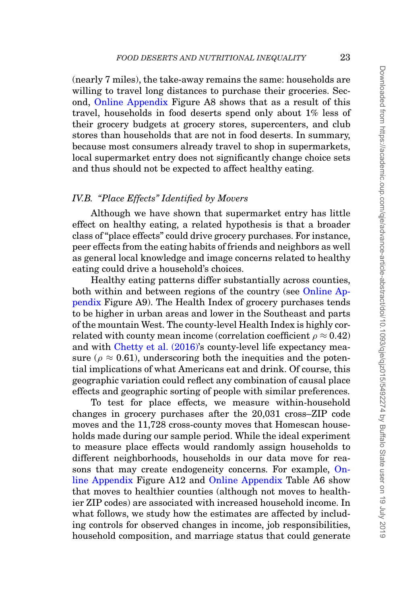(nearly 7 miles), the take-away remains the same: households are willing to travel long distances to purchase their groceries. Second, [Online Appendix](file:qje.oxfordjournals.org) Figure A8 shows that as a result of this travel, households in food deserts spend only about 1% less of their grocery budgets at grocery stores, supercenters, and club stores than households that are not in food deserts. In summary, because most consumers already travel to shop in supermarkets, local supermarket entry does not significantly change choice sets and thus should not be expected to affect healthy eating.

### *IV.B. "Place Effects" Identified by Movers*

<span id="page-22-0"></span>Although we have shown that supermarket entry has little effect on healthy eating, a related hypothesis is that a broader class of "place effects" could drive grocery purchases. For instance, peer effects from the eating habits of friends and neighbors as well as general local knowledge and image concerns related to healthy eating could drive a household's choices.

Healthy eating patterns differ substantially across counties, both within and between regions of the country (see [Online Ap](file:qje.oxfordjournals.org)[pendix](file:qje.oxfordjournals.org) Figure A9). The Health Index of grocery purchases tends to be higher in urban areas and lower in the Southeast and parts of the mountain West. The county-level Health Index is highly correlated with county mean income (correlation coefficient  $\rho \approx 0.42$ ) and with [Chetty et al. \(2016\)'](#page-48-2)s county-level life expectancy measure ( $\rho \approx 0.61$ ), underscoring both the inequities and the potential implications of what Americans eat and drink. Of course, this geographic variation could reflect any combination of causal place effects and geographic sorting of people with similar preferences.

To test for place effects, we measure within-household changes in grocery purchases after the 20,031 cross–ZIP code moves and the 11,728 cross-county moves that Homescan households made during our sample period. While the ideal experiment to measure place effects would randomly assign households to different neighborhoods, households in our data move for reasons that may create endogeneity concerns. For example, [On](file:qje.oxfordjournals.org)[line Appendix](file:qje.oxfordjournals.org) Figure A12 and [Online Appendix](file:qje.oxfordjournals.org) Table A6 show that moves to healthier counties (although not moves to healthier ZIP codes) are associated with increased household income. In what follows, we study how the estimates are affected by including controls for observed changes in income, job responsibilities, household composition, and marriage status that could generate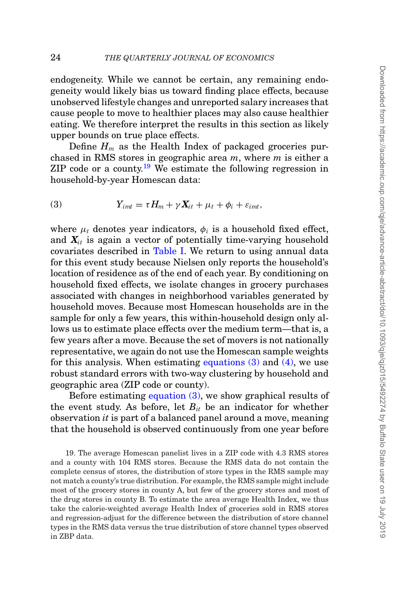endogeneity. While we cannot be certain, any remaining endogeneity would likely bias us toward finding place effects, because unobserved lifestyle changes and unreported salary increases that cause people to move to healthier places may also cause healthier eating. We therefore interpret the results in this section as likely upper bounds on true place effects.

Define  $H_m$  as the Health Index of packaged groceries purchased in RMS stores in geographic area *m*, where *m* is either a ZIP code or a county.<sup>[19](#page-23-0)</sup> We estimate the following regression in household-by-year Homescan data:

(3) 
$$
Y_{imt} = \tau H_m + \gamma X_{it} + \mu_t + \phi_i + \varepsilon_{imt},
$$

where  $\mu_t$  denotes year indicators,  $\phi_i$  is a household fixed effect, and  $X_{it}$  is again a vector of potentially time-varying household covariates described in [Table I.](#page-8-0) We return to using annual data for this event study because Nielsen only reports the household's location of residence as of the end of each year. By conditioning on household fixed effects, we isolate changes in grocery purchases associated with changes in neighborhood variables generated by household moves. Because most Homescan households are in the sample for only a few years, this within-household design only allows us to estimate place effects over the medium term—that is, a few years after a move. Because the set of movers is not nationally representative, we again do not use the Homescan sample weights for this analysis. When estimating equations  $(3)$  and  $(4)$ , we use robust standard errors with two-way clustering by household and geographic area (ZIP code or county).

Before estimating equation (3), we show graphical results of the event study. As before, let  $B_{it}$  be an indicator for whether observation *it* is part of a balanced panel around a move, meaning that the household is observed continuously from one year before

<span id="page-23-0"></span>19. The average Homescan panelist lives in a ZIP code with 4.3 RMS stores and a county with 104 RMS stores. Because the RMS data do not contain the complete census of stores, the distribution of store types in the RMS sample may not match a county's true distribution. For example, the RMS sample might include most of the grocery stores in county A, but few of the grocery stores and most of the drug stores in county B. To estimate the area average Health Index, we thus take the calorie-weighted average Health Index of groceries sold in RMS stores and regression-adjust for the difference between the distribution of store channel types in the RMS data versus the true distribution of store channel types observed in ZBP data.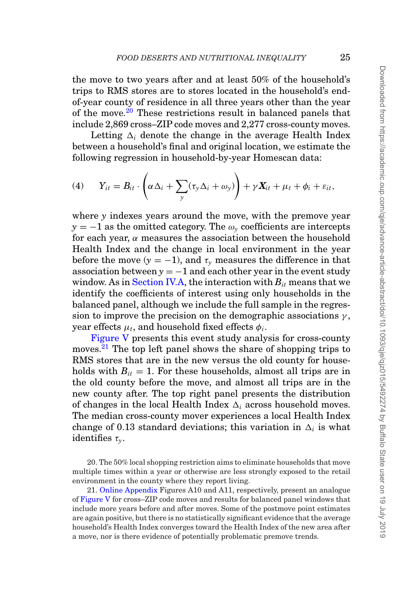the move to two years after and at least 50% of the household's trips to RMS stores are to stores located in the household's endof-year county of residence in all three years other than the year of the move.<sup>[20](#page-24-0)</sup> These restrictions result in balanced panels that include 2,869 cross–ZIP code moves and 2,277 cross-county moves.

Letting  $\Delta_i$  denote the change in the average Health Index between a household's final and original location, we estimate the following regression in household-by-year Homescan data:

(4) 
$$
Y_{it} = B_{it} \cdot \left( \alpha \Delta_i + \sum_{y} (\tau_y \Delta_i + \omega_y) \right) + \gamma \mathbf{X}_{it} + \mu_t + \phi_i + \varepsilon_{it},
$$

where *y* indexes years around the move, with the premove year  $y = -1$  as the omitted category. The  $\omega<sub>y</sub>$  coefficients are intercepts for each year,  $\alpha$  measures the association between the household Health Index and the change in local environment in the year before the move  $(y = -1)$ , and  $\tau<sub>y</sub>$  measures the difference in that association between  $y = -1$  and each other year in the event study window. As in **Section IV.A**, the interaction with  $B_{it}$  means that we identify the coefficients of interest using only households in the balanced panel, although we include the full sample in the regression to improve the precision on the demographic associations  $\gamma$ , year effects  $\mu_t$ , and household fixed effects  $\phi_i$ .

[Figure V](#page-25-0) presents this event study analysis for cross-county moves.<sup>[21](#page-24-1)</sup> The top left panel shows the share of shopping trips to RMS stores that are in the new versus the old county for households with  $B_{it} = 1$ . For these households, almost all trips are in the old county before the move, and almost all trips are in the new county after. The top right panel presents the distribution of changes in the local Health Index  $\Delta_i$  across household moves. The median cross-county mover experiences a local Health Index change of 0.13 standard deviations; this variation in  $\Delta_i$  is what identifies τ*y*.

<span id="page-24-0"></span>20. The 50% local shopping restriction aims to eliminate households that move multiple times within a year or otherwise are less strongly exposed to the retail environment in the county where they report living.

<span id="page-24-1"></span>21. [Online Appendix](file:qje.oxfordjournals.org) Figures A10 and A11, respectively, present an analogue of [Figure V](#page-25-0) for cross–ZIP code moves and results for balanced panel windows that include more years before and after moves. Some of the postmove point estimates are again positive, but there is no statistically significant evidence that the average household's Health Index converges toward the Health Index of the new area after a move, nor is there evidence of potentially problematic premove trends.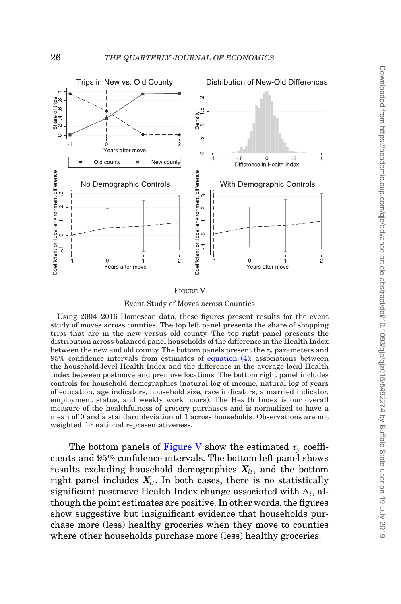<span id="page-25-0"></span>

FIGURE V

Event Study of Moves across Counties

Using 2004–2016 Homescan data, these figures present results for the event study of moves across counties. The top left panel presents the share of shopping trips that are in the new versus old county. The top right panel presents the distribution across balanced panel households of the difference in the Health Index between the new and old county. The bottom panels present the  $\tau_{\nu}$  parameters and 95% confidence intervals from estimates of equation (4): associations between the household-level Health Index and the difference in the average local Health Index between postmove and premove locations. The bottom right panel includes controls for household demographics (natural log of income, natural log of years of education, age indicators, household size, race indicators, a married indicator, employment status, and weekly work hours). The Health Index is our overall measure of the healthfulness of grocery purchases and is normalized to have a mean of 0 and a standard deviation of 1 across households. Observations are not weighted for national representativeness.

The bottom panels of [Figure V](#page-25-0) show the estimated  $\tau_{\rm v}$  coefficients and 95% confidence intervals. The bottom left panel shows results excluding household demographics  $X_{it}$ , and the bottom right panel includes  $X_{it}$ . In both cases, there is no statistically significant postmove Health Index change associated with  $\Delta_i$ , although the point estimates are positive. In other words, the figures show suggestive but insignificant evidence that households purchase more (less) healthy groceries when they move to counties where other households purchase more (less) healthy groceries.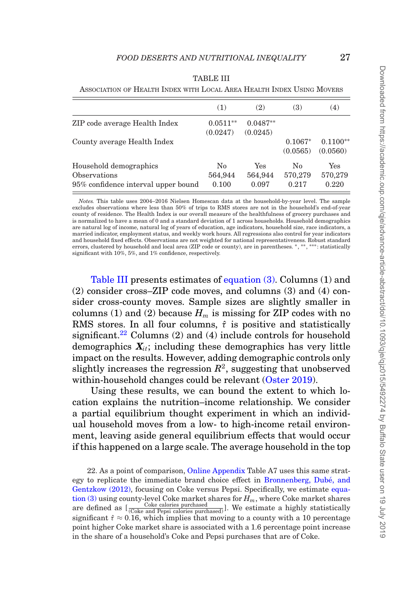|                                     | (1)        | (2)        | (3)       | (4)        |
|-------------------------------------|------------|------------|-----------|------------|
| ZIP code average Health Index       | $0.0511**$ | $0.0487**$ |           |            |
|                                     | (0.0247)   | (0.0245)   |           |            |
| County average Health Index         |            |            | $0.1067*$ | $0.1100**$ |
|                                     |            |            | (0.0565)  | (0.0560)   |
| Household demographics              | No         | Yes        | No        | Yes        |
| Observations                        | 564,944    | 564,944    | 570,279   | 570,279    |
| 95% confidence interval upper bound | 0.100      | 0.097      | 0.217     | 0.220      |

<span id="page-26-0"></span>TABLE III ASSOCIATION OF HEALTH INDEX WITH LOCAL AREA HEALTH INDEX USING MOVERS

*Notes.* This table uses 2004–2016 Nielsen Homescan data at the household-by-year level. The sample excludes observations where less than 50% of trips to RMS stores are not in the household's end-of-year county of residence. The Health Index is our overall measure of the healthfulness of grocery purchases and is normalized to have a mean of 0 and a standard deviation of 1 across households. Household demographics are natural log of income, natural log of years of education, age indicators, household size, race indicators, a married indicator, employment status, and weekly work hours. All regressions also control for year indicators and household fixed effects. Observations are not weighted for national representativeness. Robust standard errors, clustered by household and local area (ZIP code or county), are in parentheses. \*, \*\*, \*\*\*: statistically significant with 10%, 5%, and 1% confidence, respectively.

[Table III](#page-26-0) presents estimates of equation (3). Columns (1) and (2) consider cross–ZIP code moves, and columns (3) and (4) consider cross-county moves. Sample sizes are slightly smaller in columns (1) and (2) because  $H_m$  is missing for ZIP codes with no RMS stores. In all four columns,  $\hat{\tau}$  is positive and statistically significant.<sup>22</sup> Columns (2) and (4) include controls for household demographics  $X_{it}$ ; including these demographics has very little impact on the results. However, adding demographic controls only slightly increases the regression  $R^2$ , suggesting that unobserved within-household changes could be relevant [\(Oster 2019\)](#page-50-15).

Using these results, we can bound the extent to which location explains the nutrition–income relationship. We consider a partial equilibrium thought experiment in which an individual household moves from a low- to high-income retail environment, leaving aside general equilibrium effects that would occur if this happened on a large scale. The average household in the top

<span id="page-26-1"></span>22. As a point of comparison, [Online Appendix](file:qje.oxfordjournals.org) Table A7 uses this same strategy to replicate the immediate brand choice effect in [Bronnenberg, Dube, and](#page-48-13) ´ [Gentzkow \(2012\),](#page-48-13) focusing on Coke versus Pepsi. Specifically, we estimate equation (3) using county-level Coke market shares for  $H_m$ , where Coke market shares are defined as  $\left[\frac{\text{Coke}\text{ calories}\text{ purchased}}{\text{(Coke}\text{ and }\text{Pepsi}\text{ related})}\right]$ . We estimate a highly statistically significant  $\hat{\tau} \approx 0.16$ , which implies that moving to a county with a 10 percentage point higher Coke market share is associated with a 1.6 percentage point increase in the share of a household's Coke and Pepsi purchases that are of Coke.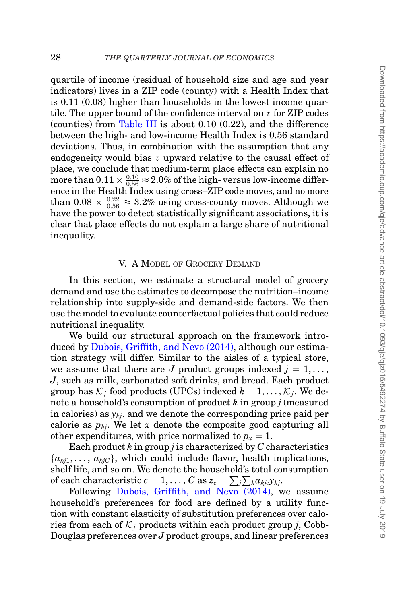quartile of income (residual of household size and age and year indicators) lives in a ZIP code (county) with a Health Index that is 0.11 (0.08) higher than households in the lowest income quartile. The upper bound of the confidence interval on  $\tau$  for ZIP codes (counties) from [Table III](#page-26-0) is about 0.10 (0.22), and the difference between the high- and low-income Health Index is 0.56 standard deviations. Thus, in combination with the assumption that any endogeneity would bias  $\tau$  upward relative to the causal effect of place, we conclude that medium-term place effects can explain no more than  $0.11 \times \frac{0.10}{0.56} \approx 2.0\%$  of the high-versus low-income difference in the Health Index using cross–ZIP code moves, and no more than  $0.08 \times \frac{0.22}{0.56} \approx 3.2\%$  using cross-county moves. Although we have the power to detect statistically significant associations, it is clear that place effects do not explain a large share of nutritional inequality.

#### V. A MODEL OF GROCERY DEMAND

In this section, we estimate a structural model of grocery demand and use the estimates to decompose the nutrition–income relationship into supply-side and demand-side factors. We then use the model to evaluate counterfactual policies that could reduce nutritional inequality.

We build our structural approach on the framework introduced by [Dubois, Griffith, and Nevo \(2014\),](#page-49-2) although our estimation strategy will differ. Similar to the aisles of a typical store, we assume that there are *J* product groups indexed  $j = 1, \ldots$ , *J*, such as milk, carbonated soft drinks, and bread. Each product group has  $K_i$  food products (UPCs) indexed  $k = 1, \ldots, K_i$ . We denote a household's consumption of product *k* in group *j* (measured in calories) as  $y_{kj}$ , and we denote the corresponding price paid per calorie as  $p_{ki}$ . We let x denote the composite good capturing all other expenditures, with price normalized to  $p_x = 1$ .

Each product *k* in group *j* is characterized by *C* characteristics  ${a_{ki1}, \ldots, a_{kiC}}$ , which could include flavor, health implications, shelf life, and so on. We denote the household's total consumption of each characteristic  $c = 1, \ldots, C$  as  $z_c = \sum_j \sum_k a_{kjc} y_{kj}$ .

Following [Dubois, Griffith, and Nevo \(2014\),](#page-49-2) we assume household's preferences for food are defined by a utility function with constant elasticity of substitution preferences over calories from each of  $K_i$  products within each product group *j*, Cobb-Douglas preferences over *J* product groups, and linear preferences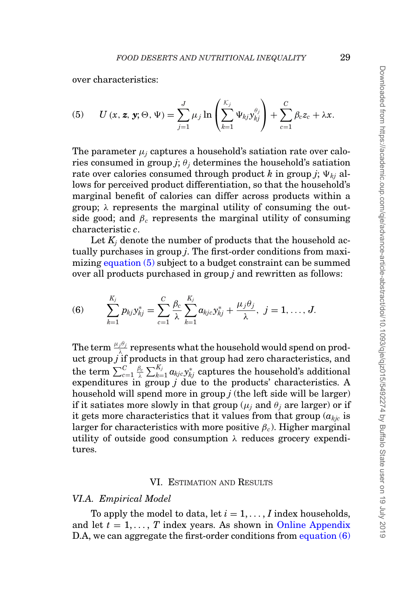over characteristics:

(5) 
$$
U(x, z, y; \Theta, \Psi) = \sum_{j=1}^{J} \mu_j \ln \left( \sum_{k=1}^{K_j} \Psi_{kj} y_{kj}^{\theta_j} \right) + \sum_{c=1}^{C} \beta_c z_c + \lambda x.
$$

The parameter  $\mu_i$  captures a household's satiation rate over calories consumed in group  $j$ ;  $\theta_j$  determines the household's satiation rate over calories consumed through product k in group *j*;  $\Psi_{ki}$  allows for perceived product differentiation, so that the household's marginal benefit of calories can differ across products within a group;  $\lambda$  represents the marginal utility of consuming the outside good; and  $\beta_c$  represents the marginal utility of consuming characteristic *c*.

Let  $K_i$  denote the number of products that the household actually purchases in group *j*. The first-order conditions from maximizing equation (5) subject to a budget constraint can be summed over all products purchased in group *j* and rewritten as follows:

(6) 
$$
\sum_{k=1}^{K_j} p_{kj} y_{kj}^* = \sum_{c=1}^C \frac{\beta_c}{\lambda} \sum_{k=1}^{K_j} a_{kjc} y_{kj}^* + \frac{\mu_j \theta_j}{\lambda}, \ j = 1, \ldots, J.
$$

The term  $\frac{\mu_j \theta_j}{\lambda}$  represents what the household would spend on product group *j* if products in that group had zero characteristics, and  $\text{the term } \sum_{c=1}^C \frac{\beta_c}{\lambda} \sum_{k=1}^{K_j} a_{kjc} \text{y}_{kj}^* \text{ captures the household's additional}$ expenditures in group *j* due to the products' characteristics. A household will spend more in group *j* (the left side will be larger) if it satiates more slowly in that group  $(\mu_i$  and  $\theta_i$  are larger) or if it gets more characteristics that it values from that group  $(a_{kic})$  is larger for characteristics with more positive  $\beta_c$ ). Higher marginal utility of outside good consumption  $\lambda$  reduces grocery expenditures.

#### VI. ESTIMATION AND RESULTS

#### *VI.A. Empirical Model*

To apply the model to data, let  $i = 1, \ldots, I$  index households, and let  $t = 1, \ldots, T$  index years. As shown in [Online Appendix](file:qje.oxfordjournals.org) D.A, we can aggregate the first-order conditions from equation (6)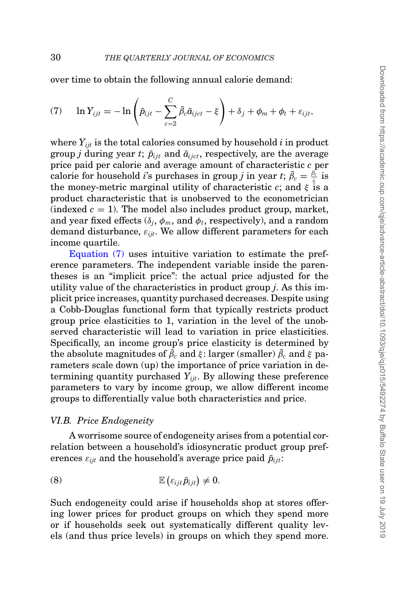over time to obtain the following annual calorie demand:

(7) 
$$
\ln Y_{ijt} = -\ln\left(\tilde{p}_{ijt} - \sum_{c=2}^{C} \tilde{\beta}_c \tilde{a}_{ijct} - \xi\right) + \delta_j + \phi_m + \phi_t + \varepsilon_{ijt},
$$

where  $Y_{i,i}$  is the total calories consumed by household  $i$  in product group *j* during year *t*;  $\tilde{p}_{iit}$  and  $\tilde{a}_{i, ict}$ , respectively, are the average price paid per calorie and average amount of characteristic *c* per calorie for household *i*'s purchases in group *j* in year *t*;  $\tilde{\beta}_c = \frac{\beta_c}{\lambda}$  is the money-metric marginal utility of characteristic *c*; and  $\xi$  is a product characteristic that is unobserved to the econometrician (indexed  $c = 1$ ). The model also includes product group, market, and year fixed effects  $(\delta_j, \phi_m, \text{and } \phi_t, \text{respectively})$ , and a random demand disturbance,  $\varepsilon_{iik}$ . We allow different parameters for each income quartile.

Equation (7) uses intuitive variation to estimate the preference parameters. The independent variable inside the parentheses is an "implicit price": the actual price adjusted for the utility value of the characteristics in product group *j*. As this implicit price increases, quantity purchased decreases. Despite using a Cobb-Douglas functional form that typically restricts product group price elasticities to 1, variation in the level of the unobserved characteristic will lead to variation in price elasticities. Specifically, an income group's price elasticity is determined by  ${\rm the\,\, absolute\,\, magnitudes\,\, of\,\,} \tilde{\beta}_c \,\, {\rm and} \,\, \xi: larger\,\, (smaller)\,\,} \tilde{\beta}_c \,\, {\rm and} \,\, \xi\,\, {\rm par}$ rameters scale down (up) the importance of price variation in determining quantity purchased *Yijt*. By allowing these preference parameters to vary by income group, we allow different income groups to differentially value both characteristics and price.

#### <span id="page-29-0"></span>*VI.B. Price Endogeneity*

A worrisome source of endogeneity arises from a potential correlation between a household's idiosyncratic product group preferences  $\varepsilon_{iik}$  and the household's average price paid  $\tilde{p}_{iik}$ :

$$
(8) \t\t\t \mathbb{E} \left( \varepsilon_{ijt} \tilde{p}_{ijt} \right) \neq 0.
$$

Such endogeneity could arise if households shop at stores offering lower prices for product groups on which they spend more or if households seek out systematically different quality levels (and thus price levels) in groups on which they spend more.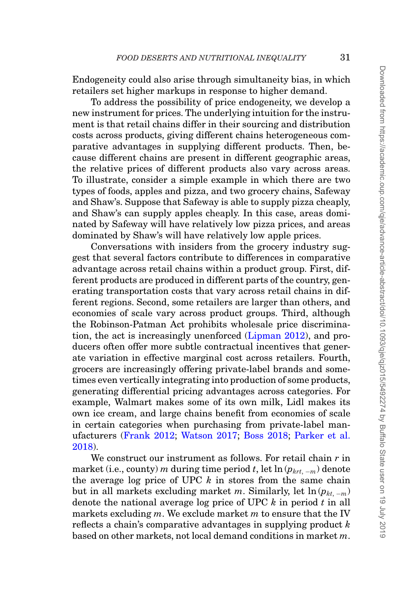Endogeneity could also arise through simultaneity bias, in which retailers set higher markups in response to higher demand.

To address the possibility of price endogeneity, we develop a new instrument for prices. The underlying intuition for the instrument is that retail chains differ in their sourcing and distribution costs across products, giving different chains heterogeneous comparative advantages in supplying different products. Then, because different chains are present in different geographic areas, the relative prices of different products also vary across areas. To illustrate, consider a simple example in which there are two types of foods, apples and pizza, and two grocery chains, Safeway and Shaw's. Suppose that Safeway is able to supply pizza cheaply, and Shaw's can supply apples cheaply. In this case, areas dominated by Safeway will have relatively low pizza prices, and areas dominated by Shaw's will have relatively low apple prices.

Conversations with insiders from the grocery industry suggest that several factors contribute to differences in comparative advantage across retail chains within a product group. First, different products are produced in different parts of the country, generating transportation costs that vary across retail chains in different regions. Second, some retailers are larger than others, and economies of scale vary across product groups. Third, although the Robinson-Patman Act prohibits wholesale price discrimination, the act is increasingly unenforced [\(Lipman 2012\)](#page-50-16), and producers often offer more subtle contractual incentives that generate variation in effective marginal cost across retailers. Fourth, grocers are increasingly offering private-label brands and sometimes even vertically integrating into production of some products, generating differential pricing advantages across categories. For example, Walmart makes some of its own milk, Lidl makes its own ice cream, and large chains benefit from economies of scale in certain categories when purchasing from private-label manufacturers [\(Frank 2012;](#page-49-19) [Watson 2017;](#page-51-14) [Boss 2018;](#page-48-17) [Parker et al.](#page-50-17) [2018\)](#page-50-17).

We construct our instrument as follows. For retail chain *r* in market (i.e., county) *m* during time period *t*, let  $\ln (p_{krt, -m})$  denote the average log price of UPC *k* in stores from the same chain but in all markets excluding market *m*. Similarly, let  $\ln (p_{kt-m})$ denote the national average log price of UPC *k* in period *t* in all markets excluding *m*. We exclude market *m* to ensure that the IV reflects a chain's comparative advantages in supplying product *k* based on other markets, not local demand conditions in market *m*.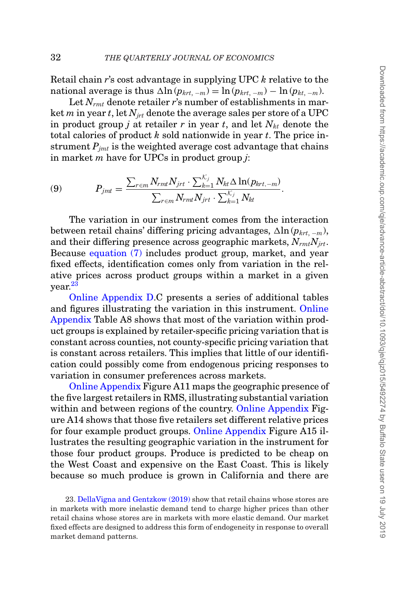Retail chain *r*'s cost advantage in supplying UPC *k* relative to the national average is thus  $\Delta \ln (p_{krt, -m}) = \ln (p_{krt, -m}) - \ln (p_{kt, -m}).$ 

Let  $N_{rmt}$  denote retailer *r*'s number of establishments in market *m* in year *t*, let  $N_{irt}$  denote the average sales per store of a UPC in product group *j* at retailer *r* in year *t*, and let  $N_{kt}$  denote the total calories of product *k* sold nationwide in year *t*. The price instrument  $P_{imt}$  is the weighted average cost advantage that chains in market *m* have for UPCs in product group *j*:

(9) 
$$
P_{jmt} = \frac{\sum_{r \in m} N_{rmt} N_{jrt} \cdot \sum_{k=1}^{K_j} N_{kt} \Delta \ln(p_{krt,-m})}{\sum_{r \in m} N_{rmt} N_{jrt} \cdot \sum_{k=1}^{K_j} N_{kt}}.
$$

The variation in our instrument comes from the interaction between retail chains' differing pricing advantages,  $\Delta \ln (p_{krt, -m})$ , and their differing presence across geographic markets, *NrmtNjrt*. Because equation (7) includes product group, market, and year fixed effects, identification comes only from variation in the relative prices across product groups within a market in a given year.[23](#page-31-0)

[Online Appendix D.](file:qje.oxfordjournals.org)C presents a series of additional tables and figures illustrating the variation in this instrument. [Online](file:qje.oxfordjournals.org) [Appendix](file:qje.oxfordjournals.org) Table A8 shows that most of the variation within product groups is explained by retailer-specific pricing variation that is constant across counties, not county-specific pricing variation that is constant across retailers. This implies that little of our identification could possibly come from endogenous pricing responses to variation in consumer preferences across markets.

[Online Appendix](file:qje.oxfordjournals.org) Figure A11 maps the geographic presence of the five largest retailers in RMS, illustrating substantial variation within and between regions of the country. [Online Appendix](file:qje.oxfordjournals.org) Figure A14 shows that those five retailers set different relative prices for four example product groups. [Online Appendix](file:qje.oxfordjournals.org) Figure A15 illustrates the resulting geographic variation in the instrument for those four product groups. Produce is predicted to be cheap on the West Coast and expensive on the East Coast. This is likely because so much produce is grown in California and there are

<span id="page-31-0"></span>23. [DellaVigna and Gentzkow \(2019\)](#page-49-20) show that retail chains whose stores are in markets with more inelastic demand tend to charge higher prices than other retail chains whose stores are in markets with more elastic demand. Our market fixed effects are designed to address this form of endogeneity in response to overall market demand patterns.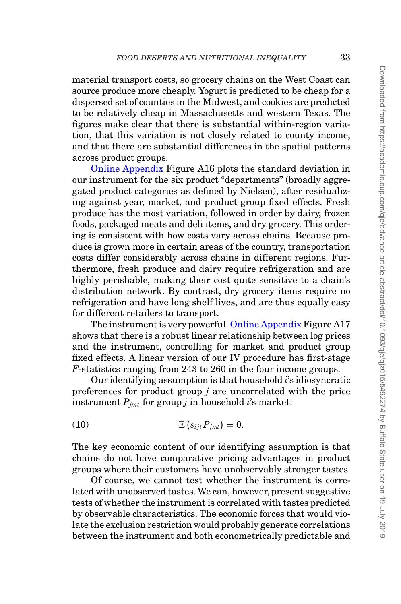material transport costs, so grocery chains on the West Coast can source produce more cheaply. Yogurt is predicted to be cheap for a dispersed set of counties in the Midwest, and cookies are predicted to be relatively cheap in Massachusetts and western Texas. The figures make clear that there is substantial within-region variation, that this variation is not closely related to county income, and that there are substantial differences in the spatial patterns across product groups.

[Online Appendix](file:qje.oxfordjournals.org) Figure A16 plots the standard deviation in our instrument for the six product "departments" (broadly aggregated product categories as defined by Nielsen), after residualizing against year, market, and product group fixed effects. Fresh produce has the most variation, followed in order by dairy, frozen foods, packaged meats and deli items, and dry grocery. This ordering is consistent with how costs vary across chains. Because produce is grown more in certain areas of the country, transportation costs differ considerably across chains in different regions. Furthermore, fresh produce and dairy require refrigeration and are highly perishable, making their cost quite sensitive to a chain's distribution network. By contrast, dry grocery items require no refrigeration and have long shelf lives, and are thus equally easy for different retailers to transport.

The instrument is very powerful. [Online Appendix](file:qje.oxfordjournals.org) Figure A17 shows that there is a robust linear relationship between log prices and the instrument, controlling for market and product group fixed effects. A linear version of our IV procedure has first-stage *F*-statistics ranging from 243 to 260 in the four income groups.

Our identifying assumption is that household *i*'s idiosyncratic preferences for product group *j* are uncorrelated with the price instrument  $P_{imt}$  for group *j* in household *i*'s market:

$$
(10) \t\t\t\t\mathbb{E} \left( \varepsilon_{ijt} P_{jmt} \right) = 0.
$$

The key economic content of our identifying assumption is that chains do not have comparative pricing advantages in product groups where their customers have unobservably stronger tastes.

Of course, we cannot test whether the instrument is correlated with unobserved tastes. We can, however, present suggestive tests of whether the instrument is correlated with tastes predicted by observable characteristics. The economic forces that would violate the exclusion restriction would probably generate correlations between the instrument and both econometrically predictable and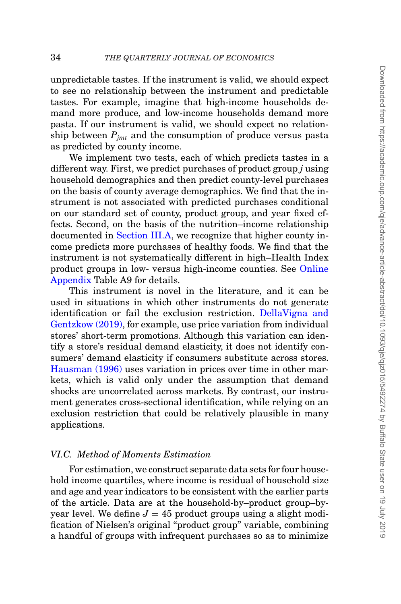unpredictable tastes. If the instrument is valid, we should expect to see no relationship between the instrument and predictable tastes. For example, imagine that high-income households demand more produce, and low-income households demand more pasta. If our instrument is valid, we should expect no relationship between *Pjmt* and the consumption of produce versus pasta as predicted by county income.

We implement two tests, each of which predicts tastes in a different way. First, we predict purchases of product group *j* using household demographics and then predict county-level purchases on the basis of county average demographics. We find that the instrument is not associated with predicted purchases conditional on our standard set of county, product group, and year fixed effects. Second, on the basis of the nutrition–income relationship documented in [Section III.A,](#page-10-1) we recognize that higher county income predicts more purchases of healthy foods. We find that the instrument is not systematically different in high–Health Index product groups in low- versus high-income counties. See [Online](file:qje.oxfordjournals.org) [Appendix](file:qje.oxfordjournals.org) Table A9 for details.

This instrument is novel in the literature, and it can be used in situations in which other instruments do not generate identification or fail the exclusion restriction. [DellaVigna and](#page-49-20) [Gentzkow \(2019\),](#page-49-20) for example, use price variation from individual stores' short-term promotions. Although this variation can identify a store's residual demand elasticity, it does not identify consumers' demand elasticity if consumers substitute across stores. [Hausman \(1996\)](#page-50-18) uses variation in prices over time in other markets, which is valid only under the assumption that demand shocks are uncorrelated across markets. By contrast, our instrument generates cross-sectional identification, while relying on an exclusion restriction that could be relatively plausible in many applications.

#### *VI.C. Method of Moments Estimation*

For estimation, we construct separate data sets for four household income quartiles, where income is residual of household size and age and year indicators to be consistent with the earlier parts of the article. Data are at the household-by–product group–byyear level. We define  $J = 45$  product groups using a slight modification of Nielsen's original "product group" variable, combining a handful of groups with infrequent purchases so as to minimize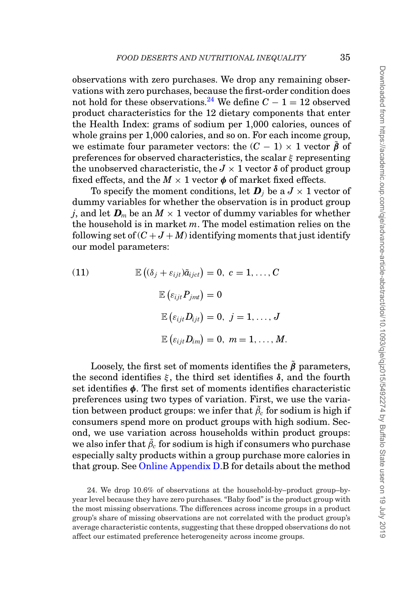observations with zero purchases. We drop any remaining observations with zero purchases, because the first-order condition does not hold for these observations.<sup>[24](#page-34-0)</sup> We define  $C - 1 = 12$  observed product characteristics for the 12 dietary components that enter the Health Index: grams of sodium per 1,000 calories, ounces of whole grains per 1,000 calories, and so on. For each income group, we estimate four parameter vectors: the  $(C - 1) \times 1$  vector  $\tilde{\beta}$  of preferences for observed characteristics, the scalar  $\xi$  representing the unobserved characteristic, the  $J \times 1$  vector  $\delta$  of product group fixed effects, and the  $M \times 1$  vector  $\phi$  of market fixed effects.

To specify the moment conditions, let  $\boldsymbol{D}_i$  be a  $J \times 1$  vector of dummy variables for whether the observation is in product group *j*, and let  $D_m$  be an  $M \times 1$  vector of dummy variables for whether the household is in market *m*. The model estimation relies on the following set of  $(C+J+M)$  identifying moments that just identify our model parameters:

(11) 
$$
\mathbb{E} \left( (\delta_j + \varepsilon_{ijt}) \tilde{a}_{ijct} \right) = 0, \ c = 1, ..., C
$$

$$
\mathbb{E} \left( \varepsilon_{ijt} P_{jmt} \right) = 0
$$

$$
\mathbb{E} \left( \varepsilon_{ijt} D_{ijt} \right) = 0, \ j = 1, ..., J
$$

$$
\mathbb{E} \left( \varepsilon_{ijt} D_{im} \right) = 0, \ m = 1, ..., M.
$$

Loosely, the first set of moments identifies the  $\tilde{\beta}$  parameters, the second identifies  $ξ$ , the third set identifies  $δ$ , and the fourth set identifies *φ*. The first set of moments identifies characteristic preferences using two types of variation. First, we use the variation between product groups: we infer that  $\tilde{\beta}_c$  for sodium is high if consumers spend more on product groups with high sodium. Second, we use variation across households within product groups: we also infer that  $\tilde{\beta}_c$  for sodium is high if consumers who purchase especially salty products within a group purchase more calories in that group. See [Online Appendix D.](file:qje.oxfordjournals.org)B for details about the method

<span id="page-34-0"></span>24. We drop 10.6% of observations at the household-by–product group–byyear level because they have zero purchases. "Baby food" is the product group with the most missing observations. The differences across income groups in a product group's share of missing observations are not correlated with the product group's average characteristic contents, suggesting that these dropped observations do not affect our estimated preference heterogeneity across income groups.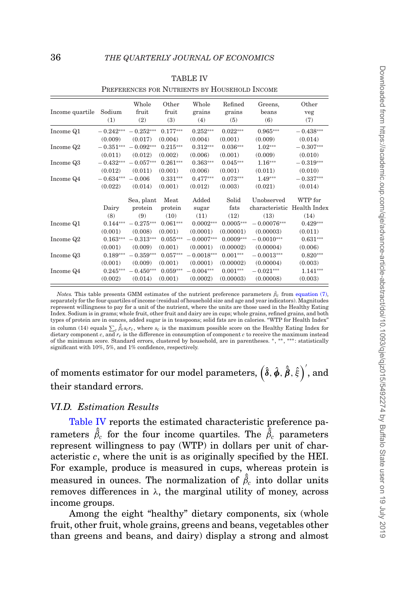<span id="page-35-0"></span>

| Income quartile | Sodium<br>(1)          | Whole<br>fruit<br>(2)  | Other<br>fruit<br>(3) | Whole<br>grains<br>(4) | Refined<br>grains<br>(5) | Greens,<br>beans<br>(6)     | Other<br>veg<br>(7)    |
|-----------------|------------------------|------------------------|-----------------------|------------------------|--------------------------|-----------------------------|------------------------|
| Income Q1       | $-0.242***$            | $-0.252***$<br>(0.017) | $0.177***$<br>(0.004) | $0.252***$<br>(0.004)  | $0.022***$<br>(0.001)    | $0.965***$                  | $-0.438***$            |
| Income Q2       | (0.009)<br>$-0.351***$ | $-0.092***$            | $0.215***$            | $0.312***$             | $0.036***$               | (0.009)<br>$1.02***$        | (0.014)<br>$-0.307***$ |
| Income Q3       | (0.011)<br>$-0.432***$ | (0.012)<br>$-0.057***$ | (0.002)<br>$0.261***$ | (0.006)<br>$0.363***$  | (0.001)<br>$0.045***$    | (0.009)<br>$1.16***$        | (0.010)<br>$-0.319***$ |
| Income Q4       | (0.012)<br>$-0.634***$ | (0.011)<br>$-0.006$    | (0.001)<br>$0.331***$ | (0.006)<br>$0.477***$  | (0.001)<br>$0.073***$    | (0.011)<br>$1.49***$        | (0.010)<br>$-0.337***$ |
|                 | (0.022)                | (0.014)                | (0.001)               | (0.012)                | (0.003)                  | (0.021)                     | (0.014)                |
|                 |                        | Sea, plant             | Meat                  | Added                  | Solid                    | Unobserved                  | WTP for                |
|                 | Dairy                  | protein                | protein               | sugar                  | fats                     | characteristic Health Index |                        |
|                 | (8)                    | (9)                    | (10)                  | (11)                   | (12)                     | (13)                        | (14)                   |
| Income Q1       | $0.144***$             | $-0.275***$            | $0.061***$            | $0.0002***$            | $0.0005***$              | $-0.00076***$               | $0.429***$             |
|                 | (0.001)                | (0.008)                | (0.001)               | (0.0001)               | (0.00001)                | (0.00003)                   | (0.011)                |
| Income Q2       | $0.163***$             | $-0.313***$            | $0.055***$            | $-0.0007***$           | $0.0009***$              | $-0.0010***$                | $0.631***$             |
|                 | (0.001)                | (0.009)                | (0.001)               | (0.0001)               | (0.00002)                | (0.00004)                   | (0.006)                |
| Income Q3       | $0.189***$             | $-0.359***$            | $0.057***$            | $-0.0018***$           | $0.001***$               | $-0.0013***$                | $0.820***$             |
|                 | (0.001)                | (0.009)                | (0.001)               | (0.0001)               | (0.00002)                | (0.00004)                   | (0.003)                |
| Income Q4       | $0.245***$             | $-0.450***$            | $0.059***$            | $-0.004***$            | $0.001***$               | $-0.021***$                 | $1.141***$             |
|                 | (0.002)                | (0.014)                | (0.001)               | (0.0002)               | (0.00003)                | (0.00008)                   | (0.003)                |

|--|

PREFERENCES FOR NUTRIENTS BY HOUSEHOLD INCOME

*Notes.* This table presents GMM estimates of the nutrient preference parameters  $\tilde{\beta}_c$  from equation (7), separately for the four quartiles of income (residual of household size and age and year indicators). Magnitudes represent willingness to pay for a unit of the nutrient, where the units are those used in the Healthy Eating Index. Sodium is in grams; whole fruit, other fruit and dairy are in cups; whole grains, refined grains, and both types of protein are in ounces, added sugar is in teaspoons; solid fats are in calories. "WTP for Health Index" in column (14) equals  $\sum_c \hat{\beta}_c s_c r_c$ , where  $s_c$  is the maximum possible score on the Healthy Eating Index for dietary component *c*, and  $r_c$  is the difference in consumption of component *c* to receive the maximum instead of the minimum score. Standard errors, clustered by household, are in parentheses. <sup>∗</sup>, ∗∗, ∗∗∗: statistically significant with 10%, 5%, and 1% confidence, respectively.

of moments estimator for our model parameters,  $\left(\hat{\pmb{\delta}},\hat{\pmb{\phi}},\hat{\pmb{\beta}},\hat{\varepsilon}\right)',$  and their standard errors.

#### *VI.D. Estimation Results*

<span id="page-35-1"></span>[Table IV](#page-35-0) reports the estimated characteristic preference parameters  $\hat{\tilde{\beta}}_c$  for the four income quartiles. The  $\hat{\tilde{\beta}}_c$  parameters represent willingness to pay (WTP) in dollars per unit of characteristic *c*, where the unit is as originally specified by the HEI. For example, produce is measured in cups, whereas protein is measured in ounces. The normalization of  $\hat{\beta}_c$  into dollar units removes differences in λ, the marginal utility of money, across income groups.

Among the eight "healthy" dietary components, six (whole fruit, other fruit, whole grains, greens and beans, vegetables other than greens and beans, and dairy) display a strong and almost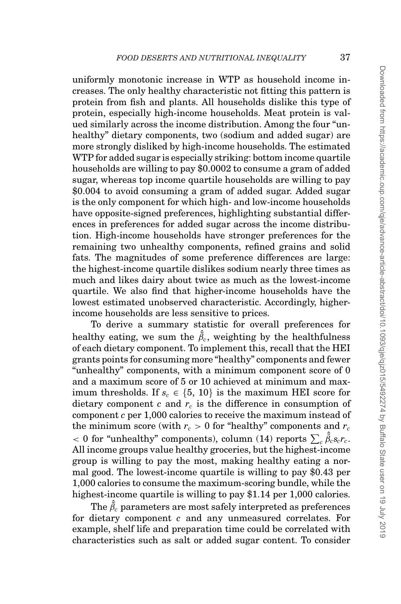uniformly monotonic increase in WTP as household income increases. The only healthy characteristic not fitting this pattern is protein from fish and plants. All households dislike this type of protein, especially high-income households. Meat protein is valued similarly across the income distribution. Among the four "unhealthy" dietary components, two (sodium and added sugar) are more strongly disliked by high-income households. The estimated WTP for added sugar is especially striking: bottom income quartile households are willing to pay \$0.0002 to consume a gram of added sugar, whereas top income quartile households are willing to pay \$0.004 to avoid consuming a gram of added sugar. Added sugar is the only component for which high- and low-income households have opposite-signed preferences, highlighting substantial differences in preferences for added sugar across the income distribution. High-income households have stronger preferences for the remaining two unhealthy components, refined grains and solid fats. The magnitudes of some preference differences are large: the highest-income quartile dislikes sodium nearly three times as much and likes dairy about twice as much as the lowest-income quartile. We also find that higher-income households have the lowest estimated unobserved characteristic. Accordingly, higherincome households are less sensitive to prices.

To derive a summary statistic for overall preferences for healthy eating, we sum the  $\hat{\tilde{\beta}}_c$ , weighting by the healthfulness of each dietary component. To implement this, recall that the HEI grants points for consuming more "healthy" components and fewer "unhealthy" components, with a minimum component score of 0 and a maximum score of 5 or 10 achieved at minimum and maximum thresholds. If  $s_c \in \{5, 10\}$  is the maximum HEI score for dietary component  $c$  and  $r_c$  is the difference in consumption of component *c* per 1,000 calories to receive the maximum instead of the minimum score (with  $r_c > 0$  for "healthy" components and  $r_c$  $< 0$  for "unhealthy" components), column (14) reports  $\sum_c \hat{\tilde{\beta}}_c s_c r_c$ . All income groups value healthy groceries, but the highest-income group is willing to pay the most, making healthy eating a normal good. The lowest-income quartile is willing to pay \$0.43 per 1,000 calories to consume the maximum-scoring bundle, while the highest-income quartile is willing to pay \$1.14 per 1,000 calories.

The  $\hat{\tilde{\beta}}_c$  parameters are most safely interpreted as preferences for dietary component *c* and any unmeasured correlates. For example, shelf life and preparation time could be correlated with characteristics such as salt or added sugar content. To consider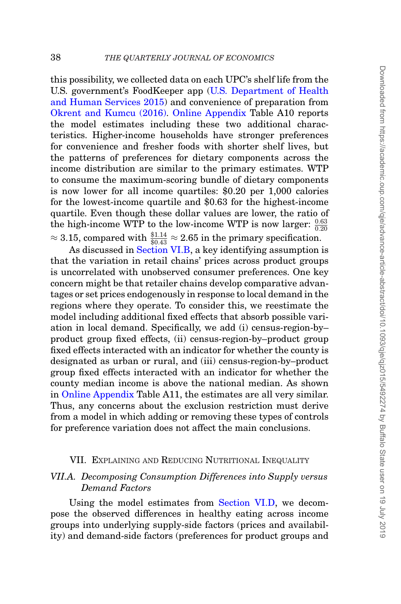this possibility, we collected data on each UPC's shelf life from the U.S. government's FoodKeeper app [\(U.S. Department of Health](#page-51-15) [and Human Services 2015\)](#page-51-15) and convenience of preparation from [Okrent and Kumcu \(2016\).](#page-50-19) [Online Appendix](file:qje.oxfordjournals.org) Table A10 reports the model estimates including these two additional characteristics. Higher-income households have stronger preferences for convenience and fresher foods with shorter shelf lives, but the patterns of preferences for dietary components across the income distribution are similar to the primary estimates. WTP to consume the maximum-scoring bundle of dietary components is now lower for all income quartiles: \$0.20 per 1,000 calories for the lowest-income quartile and \$0.63 for the highest-income quartile. Even though these dollar values are lower, the ratio of the high-income WTP to the low-income WTP is now larger:  $\frac{0.63}{0.20}$  $\approx 3.15$ , compared with  $\frac{$1.14}{$0.43} \approx 2.65$  in the primary specification.

As discussed in [Section VI.B,](#page-29-0) a key identifying assumption is that the variation in retail chains' prices across product groups is uncorrelated with unobserved consumer preferences. One key concern might be that retailer chains develop comparative advantages or set prices endogenously in response to local demand in the regions where they operate. To consider this, we reestimate the model including additional fixed effects that absorb possible variation in local demand. Specifically, we add (i) census-region-by– product group fixed effects, (ii) census-region-by–product group fixed effects interacted with an indicator for whether the county is designated as urban or rural, and (iii) census-region-by–product group fixed effects interacted with an indicator for whether the county median income is above the national median. As shown in [Online Appendix](file:qje.oxfordjournals.org) Table A11, the estimates are all very similar. Thus, any concerns about the exclusion restriction must derive from a model in which adding or removing these types of controls for preference variation does not affect the main conclusions.

## <span id="page-37-0"></span>VII. EXPLAINING AND REDUCING NUTRITIONAL INEQUALITY

# *VII.A. Decomposing Consumption Differences into Supply versus Demand Factors*

Using the model estimates from [Section VI.D,](#page-35-1) we decompose the observed differences in healthy eating across income groups into underlying supply-side factors (prices and availability) and demand-side factors (preferences for product groups and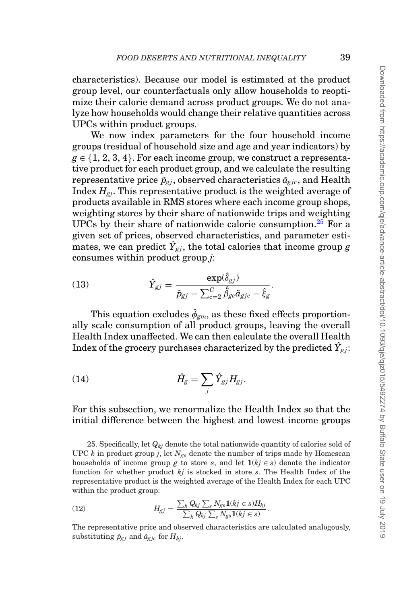characteristics). Because our model is estimated at the product group level, our counterfactuals only allow households to reoptimize their calorie demand across product groups. We do not analyze how households would change their relative quantities across UPCs within product groups.

We now index parameters for the four household income groups (residual of household size and age and year indicators) by  $g \in \{1, 2, 3, 4\}$ . For each income group, we construct a representative product for each product group, and we calculate the resulting representative price  $\tilde{p}_{gi}$ , observed characteristics  $\tilde{a}_{gi}$ , and Health Index *Hgj*. This representative product is the weighted average of products available in RMS stores where each income group shops, weighting stores by their share of nationwide trips and weighting UPCs by their share of nationwide calorie consumption.<sup>[25](#page-38-0)</sup> For a given set of prices, observed characteristics, and parameter estimates, we can predict  $\hat{Y}_{gj}$ , the total calories that income group  $g$ consumes within product group *j*:

(13) 
$$
\hat{Y}_{gj} = \frac{\exp(\hat{\delta}_{gj})}{\tilde{p}_{gj} - \sum_{c=2}^{C} \hat{\beta}_{gc} \tilde{\alpha}_{gjc} - \hat{\xi}_{g}}.
$$

This equation excludes  $\hat{\phi}_{\text{cm}}$ , as these fixed effects proportionally scale consumption of all product groups, leaving the overall Health Index unaffected. We can then calculate the overall Health Index of the grocery purchases characterized by the predicted  $\hat{Y}_{gj}$ :

$$
(14) \t\t \hat{H}_g = \sum_j \hat{Y}_{gj} H_{gj}.
$$

## For this subsection, we renormalize the Health Index so that the initial difference between the highest and lowest income groups

<span id="page-38-0"></span>25. Specifically, let  $Q_{ki}$  denote the total nationwide quantity of calories sold of UPC  $k$  in product group  $j$ , let  $N_{gs}$  denote the number of trips made by Homescan households of income group *g* to store *s*, and let  $1(kj \in s)$  denote the indicator function for whether product *kj* is stocked in store *s*. The Health Index of the representative product is the weighted average of the Health Index for each UPC within the product group:

(12) 
$$
H_{gj} = \frac{\sum_{k} Q_{kj} \sum_{s} N_{gs} \mathbf{1}(kj \in s) H_{kj}}{\sum_{k} Q_{kj} \sum_{s} N_{gs} \mathbf{1}(kj \in s)}.
$$

The representative price and observed characteristics are calculated analogously, substituting  $\tilde{p}_{gj}$  and  $\tilde{a}_{gjc}$  for  $H_{kj}$ .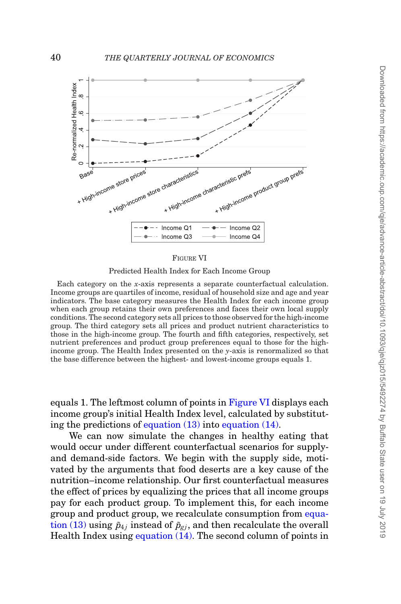<span id="page-39-0"></span>

#### FIGURE VI

Predicted Health Index for Each Income Group

Each category on the *x*-axis represents a separate counterfactual calculation. Income groups are quartiles of income, residual of household size and age and year indicators. The base category measures the Health Index for each income group when each group retains their own preferences and faces their own local supply conditions. The second category sets all prices to those observed for the high-income group. The third category sets all prices and product nutrient characteristics to those in the high-income group. The fourth and fifth categories, respectively, set nutrient preferences and product group preferences equal to those for the highincome group. The Health Index presented on the *y*-axis is renormalized so that the base difference between the highest- and lowest-income groups equals 1.

equals 1. The leftmost column of points in [Figure VI](#page-39-0) displays each income group's initial Health Index level, calculated by substituting the predictions of equation (13) into equation (14).

We can now simulate the changes in healthy eating that would occur under different counterfactual scenarios for supplyand demand-side factors. We begin with the supply side, motivated by the arguments that food deserts are a key cause of the nutrition–income relationship. Our first counterfactual measures the effect of prices by equalizing the prices that all income groups pay for each product group. To implement this, for each income group and product group, we recalculate consumption from equation (13) using  $\tilde{p}_{4j}$  instead of  $\tilde{p}_{gj}$ , and then recalculate the overall Health Index using equation (14). The second column of points in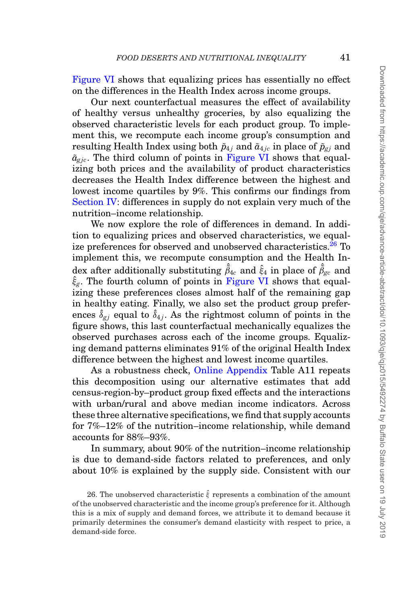[Figure VI](#page-39-0) shows that equalizing prices has essentially no effect on the differences in the Health Index across income groups.

Our next counterfactual measures the effect of availability of healthy versus unhealthy groceries, by also equalizing the observed characteristic levels for each product group. To implement this, we recompute each income group's consumption and resulting Health Index using both  $\tilde{p}_{4i}$  and  $\tilde{a}_{4ic}$  in place of  $\tilde{p}_{gi}$  and  $\tilde{a}_{\text{circ}}$ . The third column of points in [Figure VI](#page-39-0) shows that equalizing both prices and the availability of product characteristics decreases the Health Index difference between the highest and lowest income quartiles by 9%. This confirms our findings from [Section IV:](#page-15-2) differences in supply do not explain very much of the nutrition–income relationship.

We now explore the role of differences in demand. In addition to equalizing prices and observed characteristics, we equalize preferences for observed and unobserved characteristics.<sup>26</sup> To implement this, we recompute consumption and the Health In- $\det$  after additionally substituting  $\hat{\tilde{\beta}}_{4c}$  and  $\hat{\xi}_4$  in place of  $\hat{\tilde{\beta}}_{gc}$  and  $\hat{\xi}_g$ . The fourth column of points in [Figure VI](#page-39-0) shows that equalizing these preferences closes almost half of the remaining gap in healthy eating. Finally, we also set the product group preferences  $\hat{\delta}_{gj}$  equal to  $\hat{\delta}_{4j}$ . As the rightmost column of points in the figure shows, this last counterfactual mechanically equalizes the observed purchases across each of the income groups. Equalizing demand patterns eliminates 91% of the original Health Index difference between the highest and lowest income quartiles.

As a robustness check, [Online Appendix](file:qje.oxfordjournals.org) Table A11 repeats this decomposition using our alternative estimates that add census-region-by–product group fixed effects and the interactions with urban/rural and above median income indicators. Across these three alternative specifications, we find that supply accounts for 7%–12% of the nutrition–income relationship, while demand accounts for 88%–93%.

In summary, about 90% of the nutrition–income relationship is due to demand-side factors related to preferences, and only about 10% is explained by the supply side. Consistent with our

<span id="page-40-0"></span><sup>26.</sup> The unobserved characteristic  $\hat{\xi}$  represents a combination of the amount of the unobserved characteristic and the income group's preference for it. Although this is a mix of supply and demand forces, we attribute it to demand because it primarily determines the consumer's demand elasticity with respect to price, a demand-side force.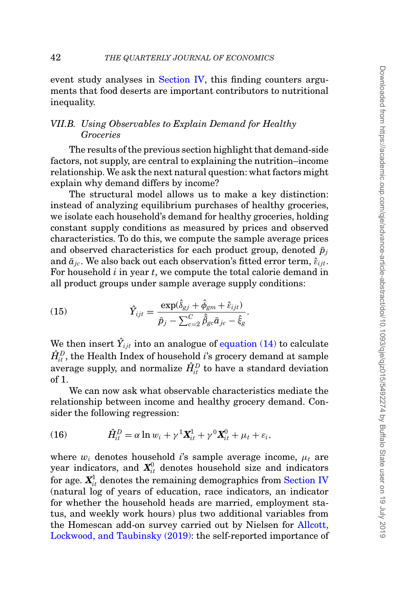event study analyses in [Section IV,](#page-15-2) this finding counters arguments that food deserts are important contributors to nutritional inequality.

# *VII.B. Using Observables to Explain Demand for Healthy Groceries*

The results of the previous section highlight that demand-side factors, not supply, are central to explaining the nutrition–income relationship. We ask the next natural question: what factors might explain why demand differs by income?

The structural model allows us to make a key distinction: instead of analyzing equilibrium purchases of healthy groceries, we isolate each household's demand for healthy groceries, holding constant supply conditions as measured by prices and observed characteristics. To do this, we compute the sample average prices and observed characteristics for each product group, denoted  $\bar{p}_i$ and  $\bar{a}_{ic}$ . We also back out each observation's fitted error term,  $\hat{\varepsilon}_{iit}$ . For household *i* in year *t*, we compute the total calorie demand in all product groups under sample average supply conditions:

(15) 
$$
\hat{Y}_{ijt} = \frac{\exp(\hat{\delta}_{gj} + \hat{\phi}_{gm} + \hat{\varepsilon}_{ijt})}{\bar{p}_j - \sum_{c=2}^{C} \hat{\beta}_{ge} \bar{a}_{jc} - \hat{\xi}_{g}}.
$$

We then insert  $\hat{Y}_{ijt}$  into an analogue of equation (14) to calculate  $\hat{H}_{it}^D$ , the Health Index of household *i*'s grocery demand at sample average supply, and normalize  $\hat{H}^D_{it}$  to have a standard deviation of 1.

We can now ask what observable characteristics mediate the relationship between income and healthy grocery demand. Consider the following regression:

(16) 
$$
\hat{H}_{it}^D = \alpha \ln w_i + \gamma^1 \mathbf{X}_{it}^1 + \gamma^0 \mathbf{X}_{it}^0 + \mu_t + \varepsilon_i,
$$

where  $w_i$  denotes household *i*'s sample average income,  $\mu_t$  are year indicators, and  $\textbf{\emph{X}}_{it}^{0}$  denotes household size and indicators for age.  $\textbf{\emph{X}}_{it}^{\text{1}}$  denotes the remaining demographics from [Section IV](#page-15-2) (natural log of years of education, race indicators, an indicator for whether the household heads are married, employment status, and weekly work hours) plus two additional variables from the Homescan add-on survey carried out by Nielsen for [Allcott,](#page-48-8) [Lockwood, and Taubinsky \(2019\):](#page-48-8) the self-reported importance of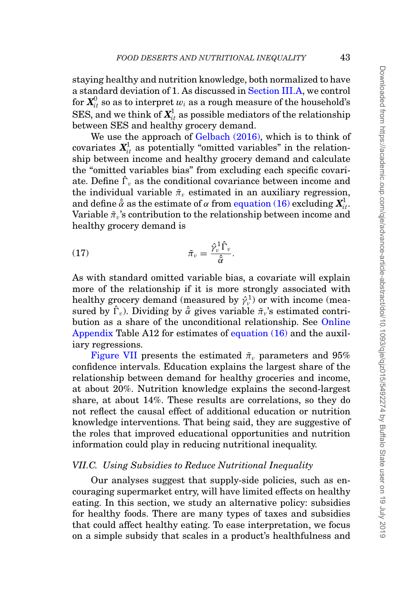staying healthy and nutrition knowledge, both normalized to have a standard deviation of 1. As discussed in [Section III.A,](#page-10-1) we control for  $\textbf{\emph{X}}_{it}^{0}$  so as to interpret  $w_{i}$  as a rough measure of the household's SES, and we think of  $X_{it}^1$  as possible mediators of the relationship between SES and healthy grocery demand.

We use the approach of [Gelbach \(2016\),](#page-50-20) which is to think of covariates  $\mathbf{X}_{it}^1$  as potentially "omitted variables" in the relationship between income and healthy grocery demand and calculate the "omitted variables bias" from excluding each specific covariate. Define  $\hat{\Gamma}_v$  as the conditional covariance between income and the individual variable  $\tilde{\pi}_v$  estimated in an auxiliary regression, and define  $\hat{\tilde{\alpha}}$  as the estimate of  $\alpha$  from equation (16) excluding  $\boldsymbol{X}_{i t}^1.$ Variable  $\tilde{\pi}_v$ 's contribution to the relationship between income and healthy grocery demand is

$$
\tilde{\pi}_v = \frac{\hat{\gamma}_v^1 \hat{\Gamma}_v}{\hat{\tilde{\alpha}}}.
$$

As with standard omitted variable bias, a covariate will explain more of the relationship if it is more strongly associated with healthy grocery demand (measured by  $\hat{\gamma}_v^1$ ) or with income (measured by  $\hat{\Gamma}_v$ ). Dividing by  $\hat{\tilde{\alpha}}$  gives variable  $\tilde{\pi}_v$ 's estimated contribution as a share of the unconditional relationship. See [Online](file:qje.oxfordjournals.org) [Appendix](file:qje.oxfordjournals.org) Table A12 for estimates of equation (16) and the auxiliary regressions.

[Figure VII](#page-43-0) presents the estimated  $\tilde{\pi}_v$  parameters and 95% confidence intervals. Education explains the largest share of the relationship between demand for healthy groceries and income, at about 20%. Nutrition knowledge explains the second-largest share, at about 14%. These results are correlations, so they do not reflect the causal effect of additional education or nutrition knowledge interventions. That being said, they are suggestive of the roles that improved educational opportunities and nutrition information could play in reducing nutritional inequality.

### *VII.C. Using Subsidies to Reduce Nutritional Inequality*

Our analyses suggest that supply-side policies, such as encouraging supermarket entry, will have limited effects on healthy eating. In this section, we study an alternative policy: subsidies for healthy foods. There are many types of taxes and subsidies that could affect healthy eating. To ease interpretation, we focus on a simple subsidy that scales in a product's healthfulness and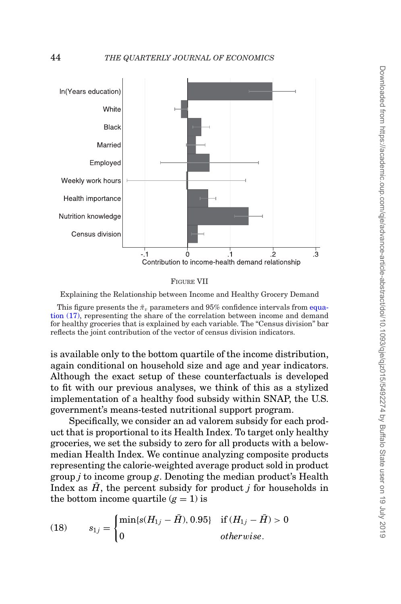<span id="page-43-0"></span>

FIGURE VII

Explaining the Relationship between Income and Healthy Grocery Demand

This figure presents the  $\tilde{\pi}_v$  parameters and 95% confidence intervals from equation (17), representing the share of the correlation between income and demand for healthy groceries that is explained by each variable. The "Census division" bar reflects the joint contribution of the vector of census division indicators.

is available only to the bottom quartile of the income distribution, again conditional on household size and age and year indicators. Although the exact setup of these counterfactuals is developed to fit with our previous analyses, we think of this as a stylized implementation of a healthy food subsidy within SNAP, the U.S. government's means-tested nutritional support program.

Specifically, we consider an ad valorem subsidy for each product that is proportional to its Health Index. To target only healthy groceries, we set the subsidy to zero for all products with a belowmedian Health Index. We continue analyzing composite products representing the calorie-weighted average product sold in product group *j* to income group *g*. Denoting the median product's Health Index as  $H$ , the percent subsidy for product  $j$  for households in the bottom income quartile  $(q = 1)$  is

(18) 
$$
s_{1j} = \begin{cases} \min\{s(H_{1j} - \bar{H}), 0.95\} & \text{if } (H_{1j} - \bar{H}) > 0 \\ 0 & \text{otherwise.} \end{cases}
$$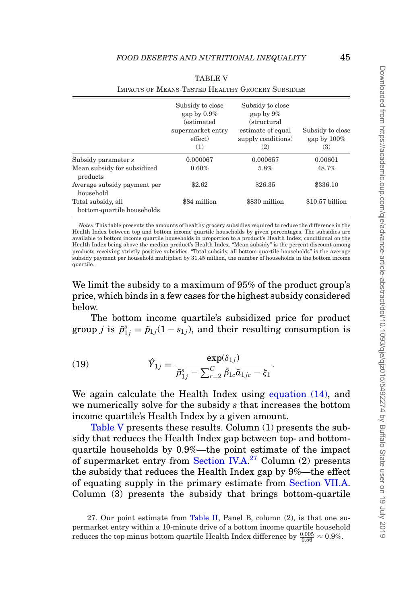<span id="page-44-0"></span>

| <b>IMPACTS OF MEANS-TESTED HEALTHY GROCERY SUBSIDIES</b> |                                                                                                 |                                                                                                   |                                           |  |  |  |
|----------------------------------------------------------|-------------------------------------------------------------------------------------------------|---------------------------------------------------------------------------------------------------|-------------------------------------------|--|--|--|
|                                                          | Subsidy to close<br>gap by $0.9\%$<br><i>(estimated)</i><br>supermarket entry<br>effect)<br>(1) | Subsidy to close<br>gap by $9\%$<br>(structural<br>estimate of equal<br>supply conditions)<br>(2) | Subsidy to close<br>gap by $100\%$<br>(3) |  |  |  |
| Subsidy parameter s                                      | 0.000067                                                                                        | 0.000657                                                                                          | 0.00601                                   |  |  |  |
| Mean subsidy for subsidized<br>products                  | 0.60%                                                                                           | 5.8%                                                                                              | 48.7%                                     |  |  |  |
| Average subsidy payment per<br>household                 | \$2.62                                                                                          | \$26.35                                                                                           | \$336.10                                  |  |  |  |
| Total subsidy, all<br>bottom-quartile households         | \$84 million                                                                                    | \$830 million                                                                                     | $$10.57$ billion                          |  |  |  |

#### TABLE V

*Notes.* This table presents the amounts of healthy grocery subsidies required to reduce the difference in the Health Index between top and bottom income quartile households by given percentages. The subsidies are available to bottom income quartile households in proportion to a product's Health Index, conditional on the Health Index being above the median product's Health Index. "Mean subsidy" is the percent discount among products receiving strictly positive subsidies. "Total subsidy, all bottom-quartile households" is the average subsidy payment per household multiplied by 31.45 million, the number of households in the bottom income quartile.

We limit the subsidy to a maximum of 95% of the product group's price, which binds in a few cases for the highest subsidy considered below.

The bottom income quartile's subsidized price for product group *j* is  $\tilde{p}_{1j}^s = \tilde{p}_{1j}(1 - s_{1j})$ , and their resulting consumption is

(19) 
$$
\hat{Y}_{1j} = \frac{\exp(\delta_{1j})}{\tilde{p}_{1j}^s - \sum_{c=2}^C \tilde{\beta}_{1c} \tilde{a}_{1jc} - \xi_1}.
$$

We again calculate the Health Index using equation (14), and we numerically solve for the subsidy *s* that increases the bottom income quartile's Health Index by a given amount.

[Table V](#page-44-0) presents these results. Column (1) presents the subsidy that reduces the Health Index gap between top- and bottomquartile households by 0.9%—the point estimate of the impact of supermarket entry from [Section IV.A.](#page-15-1)<sup>[27](#page-44-1)</sup> Column (2) presents the subsidy that reduces the Health Index gap by 9%—the effect of equating supply in the primary estimate from [Section VII.A.](#page-37-0) Column (3) presents the subsidy that brings bottom-quartile

<span id="page-44-1"></span><sup>27.</sup> Our point estimate from [Table II,](#page-20-0) Panel B, column (2), is that one supermarket entry within a 10-minute drive of a bottom income quartile household reduces the top minus bottom quartile Health Index difference by  $\frac{0.005}{0.56} \approx 0.9\%$ .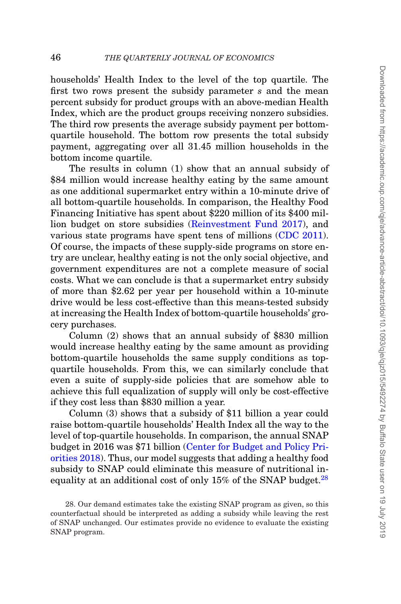households' Health Index to the level of the top quartile. The first two rows present the subsidy parameter *s* and the mean percent subsidy for product groups with an above-median Health Index, which are the product groups receiving nonzero subsidies. The third row presents the average subsidy payment per bottomquartile household. The bottom row presents the total subsidy payment, aggregating over all 31.45 million households in the bottom income quartile.

The results in column (1) show that an annual subsidy of \$84 million would increase healthy eating by the same amount as one additional supermarket entry within a 10-minute drive of all bottom-quartile households. In comparison, the Healthy Food Financing Initiative has spent about \$220 million of its \$400 million budget on store subsidies [\(Reinvestment Fund 2017\)](#page-51-2), and various state programs have spent tens of millions [\(CDC 2011\)](#page-48-10). Of course, the impacts of these supply-side programs on store entry are unclear, healthy eating is not the only social objective, and government expenditures are not a complete measure of social costs. What we can conclude is that a supermarket entry subsidy of more than \$2.62 per year per household within a 10-minute drive would be less cost-effective than this means-tested subsidy at increasing the Health Index of bottom-quartile households' grocery purchases.

Column (2) shows that an annual subsidy of \$830 million would increase healthy eating by the same amount as providing bottom-quartile households the same supply conditions as topquartile households. From this, we can similarly conclude that even a suite of supply-side policies that are somehow able to achieve this full equalization of supply will only be cost-effective if they cost less than \$830 million a year.

Column (3) shows that a subsidy of \$11 billion a year could raise bottom-quartile households' Health Index all the way to the level of top-quartile households. In comparison, the annual SNAP budget in 2016 was \$71 billion [\(Center for Budget and Policy Pri](#page-48-18)[orities 2018\)](#page-48-18). Thus, our model suggests that adding a healthy food subsidy to SNAP could eliminate this measure of nutritional inequality at an additional cost of only  $15\%$  of the SNAP budget.<sup>28</sup>

<span id="page-45-0"></span><sup>28.</sup> Our demand estimates take the existing SNAP program as given, so this counterfactual should be interpreted as adding a subsidy while leaving the rest of SNAP unchanged. Our estimates provide no evidence to evaluate the existing SNAP program.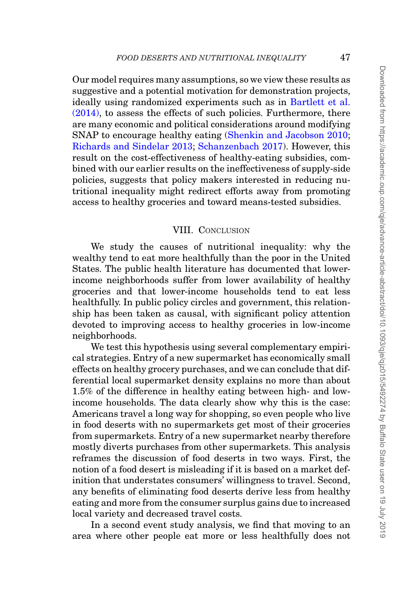Our model requires many assumptions, so we view these results as suggestive and a potential motivation for demonstration projects, ideally using randomized experiments such as in [Bartlett et al.](#page-48-11) [\(2014\),](#page-48-11) to assess the effects of such policies. Furthermore, there are many economic and political considerations around modifying SNAP to encourage healthy eating [\(Shenkin and Jacobson 2010;](#page-51-16) [Richards and Sindelar 2013;](#page-51-17) [Schanzenbach 2017\)](#page-51-18). However, this result on the cost-effectiveness of healthy-eating subsidies, combined with our earlier results on the ineffectiveness of supply-side policies, suggests that policy makers interested in reducing nutritional inequality might redirect efforts away from promoting access to healthy groceries and toward means-tested subsidies.

## <span id="page-46-0"></span>VIII. CONCLUSION

We study the causes of nutritional inequality: why the wealthy tend to eat more healthfully than the poor in the United States. The public health literature has documented that lowerincome neighborhoods suffer from lower availability of healthy groceries and that lower-income households tend to eat less healthfully. In public policy circles and government, this relationship has been taken as causal, with significant policy attention devoted to improving access to healthy groceries in low-income neighborhoods.

We test this hypothesis using several complementary empirical strategies. Entry of a new supermarket has economically small effects on healthy grocery purchases, and we can conclude that differential local supermarket density explains no more than about 1.5% of the difference in healthy eating between high- and lowincome households. The data clearly show why this is the case: Americans travel a long way for shopping, so even people who live in food deserts with no supermarkets get most of their groceries from supermarkets. Entry of a new supermarket nearby therefore mostly diverts purchases from other supermarkets. This analysis reframes the discussion of food deserts in two ways. First, the notion of a food desert is misleading if it is based on a market definition that understates consumers' willingness to travel. Second, any benefits of eliminating food deserts derive less from healthy eating and more from the consumer surplus gains due to increased local variety and decreased travel costs.

In a second event study analysis, we find that moving to an area where other people eat more or less healthfully does not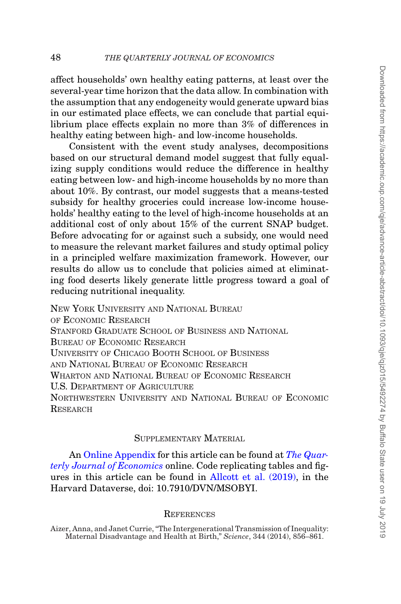affect households' own healthy eating patterns, at least over the several-year time horizon that the data allow. In combination with the assumption that any endogeneity would generate upward bias in our estimated place effects, we can conclude that partial equilibrium place effects explain no more than 3% of differences in healthy eating between high- and low-income households.

Consistent with the event study analyses, decompositions based on our structural demand model suggest that fully equalizing supply conditions would reduce the difference in healthy eating between low- and high-income households by no more than about 10%. By contrast, our model suggests that a means-tested subsidy for healthy groceries could increase low-income households' healthy eating to the level of high-income households at an additional cost of only about 15% of the current SNAP budget. Before advocating for or against such a subsidy, one would need to measure the relevant market failures and study optimal policy in a principled welfare maximization framework. However, our results do allow us to conclude that policies aimed at eliminating food deserts likely generate little progress toward a goal of reducing nutritional inequality.

NEW YORK UNIVERSITY AND NATIONAL BUREAU OF ECONOMIC RESEARCH STANFORD GRADUATE SCHOOL OF BUSINESS AND NATIONAL BUREAU OF ECONOMIC RESEARCH UNIVERSITY OF CHICAGO BOOTH SCHOOL OF BUSINESS AND NATIONAL BUREAU OF ECONOMIC RESEARCH WHARTON AND NATIONAL BUREAU OF ECONOMIC RESEARCH U.S. DEPARTMENT OF AGRICULTURE NORTHWESTERN UNIVERSITY AND NATIONAL BUREAU OF ECONOMIC **RESEARCH** 

# SUPPLEMENTARY MATERIAL

An [Online Appendix](file:qje.oxfordjournals.org) for this article can be found at *[The Quar](https://academic.oup.com/qjecon/article-lookup/doi/10.1093/qjecon/qjz015#supplementary-data)[terly Journal of Economics](https://academic.oup.com/qjecon/article-lookup/doi/10.1093/qjecon/qjz015#supplementary-data)* online. Code replicating tables and figures in this article can be found in [Allcott et al. \(2019\),](#page-48-19) in the Harvard Dataverse, doi: 10.7910/DVN/MSOBYI.

#### **REFERENCES**

<span id="page-47-0"></span>Aizer, Anna, and Janet Currie, "The Intergenerational Transmission of Inequality: Maternal Disadvantage and Health at Birth," *Science*, 344 (2014), 856–861.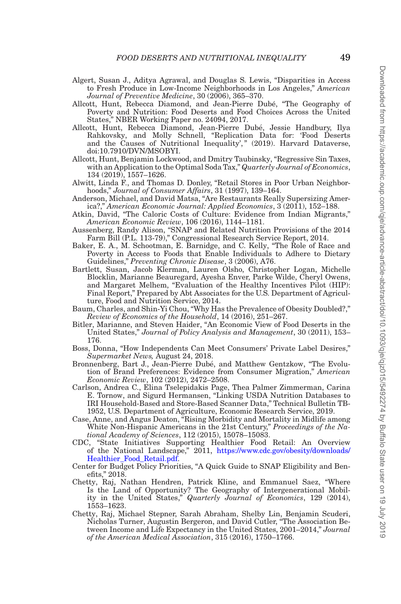- <span id="page-48-5"></span>Algert, Susan J., Aditya Agrawal, and Douglas S. Lewis, "Disparities in Access to Fresh Produce in Low-Income Neighborhoods in Los Angeles," *American Journal of Preventive Medicine*, 30 (2006), 365–370.
- <span id="page-48-0"></span>Allcott, Hunt, Rebecca Diamond, and Jean-Pierre Dube, "The Geography of ´ Poverty and Nutrition: Food Deserts and Food Choices Across the United States," NBER Working Paper no. 24094, 2017.
- <span id="page-48-19"></span>Allcott, Hunt, Rebecca Diamond, Jean-Pierre Dube, Jessie Handbury, Ilya ´ Rahkovsky, and Molly Schnell, "Replication Data for: 'Food Deserts and the Causes of Nutritional Inequality'," (2019). Harvard Dataverse, doi:10.7910/DVN/MSOBYI.
- <span id="page-48-8"></span>Allcott, Hunt, Benjamin Lockwood, and Dmitry Taubinsky, "Regressive Sin Taxes, with an Application to the Optimal Soda Tax," *Quarterly Journal of Economics*, 134 (2019), 1557–1626.
- <span id="page-48-4"></span>Alwitt, Linda F., and Thomas D. Donley, "Retail Stores in Poor Urban Neighborhoods," *Journal of Consumer Affairs*, 31 (1997), 139–164.
- <span id="page-48-12"></span>Anderson, Michael, and David Matsa, "Are Restaurants Really Supersizing America?," *American Economic Journal: Applied Economics*, 3 (2011), 152–188.
- <span id="page-48-14"></span>Atkin, David, "The Caloric Costs of Culture: Evidence from Indian Migrants," *American Economic Review*, 106 (2016), 1144–1181.
- <span id="page-48-9"></span>Aussenberg, Randy Alison, "SNAP and Related Nutrition Provisions of the 2014 Farm Bill (P.L. 113-79)," Congressional Research Service Report, 2014.
- <span id="page-48-6"></span>Baker, E. A., M. Schootman, E. Barnidge, and C. Kelly, "The Role of Race and Poverty in Access to Foods that Enable Individuals to Adhere to Dietary Guidelines," *Preventing Chronic Disease*, 3 (2006), A76.
- <span id="page-48-11"></span>Bartlett, Susan, Jacob Klerman, Lauren Olsho, Christopher Logan, Michelle Blocklin, Marianne Beauregard, Ayesha Enver, Parke Wilde, Cheryl Owens, and Margaret Melhem, "Evaluation of the Healthy Incentives Pilot (HIP): Final Report," Prepared by Abt Associates for the U.S. Department of Agriculture, Food and Nutrition Service, 2014.
- <span id="page-48-15"></span>Baum, Charles, and Shin-Yi Chou, "Why Has the Prevalence of Obesity Doubled?," *Review of Economics of the Household*, 14 (2016), 251–267.
- <span id="page-48-7"></span>Bitler, Marianne, and Steven Haider, "An Economic View of Food Deserts in the United States," *Journal of Policy Analysis and Management*, 30 (2011), 153– 176.
- <span id="page-48-17"></span>Boss, Donna, "How Independents Can Meet Consumers' Private Label Desires," *Supermarket News,* August 24, 2018.
- <span id="page-48-13"></span>Bronnenberg, Bart J., Jean-Pierre Dube, and Matthew Gentzkow, "The Evolu- ´ tion of Brand Preferences: Evidence from Consumer Migration," *American Economic Review*, 102 (2012), 2472–2508.
- <span id="page-48-16"></span>Carlson, Andrea C., Elina Tselepidakis Page, Thea Palmer Zimmerman, Carina E. Tornow, and Sigurd Hermansen, "Linking USDA Nutrition Databases to IRI Household-Based and Store-Based Scanner Data," Technical Bulletin TB-1952, U.S. Department of Agriculture, Economic Research Service, 2019.
- <span id="page-48-3"></span>Case, Anne, and Angus Deaton, "Rising Morbidity and Mortality in Midlife among White Non-Hispanic Americans in the 21st Century," *Proceedings of the National Academy of Sciences*, 112 (2015), 15078–15083.
- <span id="page-48-10"></span>CDC, "State Initiatives Supporting Healthier Food Retail: An Overview of the National Landscape," 2011, [https://www.cdc.gov/obesity/downloads/](https://www.cdc.gov/obesity/downloads/Healthier_Food_Retail.pdf) [Healthier\\_Food\\_Retail.pdf.](https://www.cdc.gov/obesity/downloads/Healthier_Food_Retail.pdf)
- <span id="page-48-18"></span>Center for Budget Policy Priorities, "A Quick Guide to SNAP Eligibility and Benefits," 2018.
- <span id="page-48-1"></span>Chetty, Raj, Nathan Hendren, Patrick Kline, and Emmanuel Saez, "Where Is the Land of Opportunity? The Geography of Intergenerational Mobility in the United States," *Quarterly Journal of Economics*, 129 (2014), 1553–1623.
- <span id="page-48-2"></span>Chetty, Raj, Michael Stepner, Sarah Abraham, Shelby Lin, Benjamin Scuderi, Nicholas Turner, Augustin Bergeron, and David Cutler, "The Association Between Income and Life Expectancy in the United States, 2001–2014," *Journal of the American Medical Association*, 315 (2016), 1750–1766.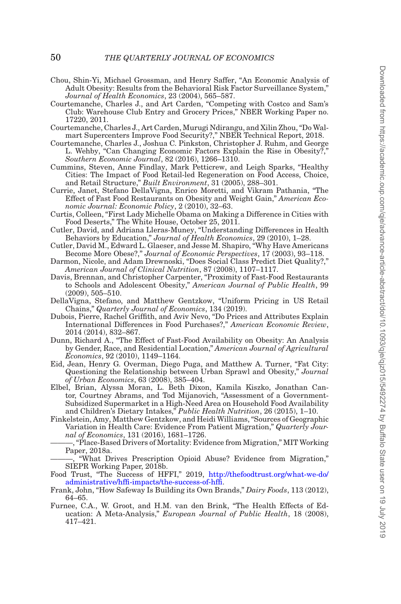- <span id="page-49-14"></span>Chou, Shin-Yi, Michael Grossman, and Henry Saffer, "An Economic Analysis of Adult Obesity: Results from the Behavioral Risk Factor Surveillance System," *Journal of Health Economics*, 23 (2004), 565–587.
- <span id="page-49-3"></span>Courtemanche, Charles J., and Art Carden, "Competing with Costco and Sam's Club: Warehouse Club Entry and Grocery Prices," NBER Working Paper no. 17220, 2011.
- <span id="page-49-4"></span>Courtemanche, Charles J., Art Carden, Murugi Ndirangu, and Xilin Zhou, "Do Walmart Supercenters Improve Food Security?," NBER Technical Report, 2018.
- <span id="page-49-15"></span>Courtemanche, Charles J., Joshua C. Pinkston, Christopher J. Ruhm, and George L. Wehby, "Can Changing Economic Factors Explain the Rise in Obesity?," *Southern Economic Journal*, 82 (2016), 1266–1310.
- <span id="page-49-8"></span>Cummins, Steven, Anne Findlay, Mark Petticrew, and Leigh Sparks, "Healthy Cities: The Impact of Food Retail-led Regeneration on Food Access, Choice, and Retail Structure," *Built Environment*, 31 (2005), 288–301.
- <span id="page-49-7"></span>Currie, Janet, Stefano DellaVigna, Enrico Moretti, and Vikram Pathania, "The Effect of Fast Food Restaurants on Obesity and Weight Gain," *American Economic Journal: Economic Policy*, 2 (2010), 32–63.
- <span id="page-49-0"></span>Curtis, Colleen, "First Lady Michelle Obama on Making a Difference in Cities with Food Deserts," The White House, October 25, 2011.
- <span id="page-49-17"></span>Cutler, David, and Adriana Lleras-Muney, "Understanding Differences in Health Behaviors by Education," *Journal of Health Economics*, 29 (2010), 1–28.
- <span id="page-49-13"></span>Cutler, David M., Edward L. Glaeser, and Jesse M. Shapiro, "Why Have Americans Become More Obese?," *Journal of Economic Perspectives*, 17 (2003), 93–118.
- <span id="page-49-18"></span>Darmon, Nicole, and Adam Drewnoski, "Does Social Class Predict Diet Quality?," *American Journal of Clinical Nutrition*, 87 (2008), 1107–1117.
- <span id="page-49-5"></span>Davis, Brennan, and Christopher Carpenter, "Proximity of Fast-Food Restaurants to Schools and Adolescent Obesity," *American Journal of Public Health*, 99 (2009), 505–510.
- <span id="page-49-20"></span>DellaVigna, Stefano, and Matthew Gentzkow, "Uniform Pricing in US Retail Chains," *Quarterly Journal of Economics*, 134 (2019).
- <span id="page-49-2"></span>Dubois, Pierre, Rachel Griffith, and Aviv Nevo, "Do Prices and Attributes Explain International Differences in Food Purchases?," *American Economic Review*, 2014 (2014), 832–867.
- <span id="page-49-6"></span>Dunn, Richard A., "The Effect of Fast-Food Availability on Obesity: An Analysis by Gender, Race, and Residential Location," *American Journal of Agricultural Economics*, 92 (2010), 1149–1164.
- <span id="page-49-10"></span>Eid, Jean, Henry G. Overman, Diego Puga, and Matthew A. Turner, "Fat City: Questioning the Relationship between Urban Sprawl and Obesity," *Journal of Urban Economics*, 63 (2008), 385–404.
- <span id="page-49-9"></span>Elbel, Brian, Alyssa Moran, L. Beth Dixon, Kamila Kiszko, Jonathan Cantor, Courtney Abrams, and Tod Mijanovich, "Assessment of a Government-Subsidized Supermarket in a High-Need Area on Household Food Availability and Children's Dietary Intakes," *Public Health Nutrition*, 26 (2015), 1–10.
- <span id="page-49-11"></span>Finkelstein, Amy, Matthew Gentzkow, and Heidi Williams, "Sources of Geographic Variation in Health Care: Evidence From Patient Migration," *Quarterly Journal of Economics*, 131 (2016), 1681–1726.

- <span id="page-49-12"></span>"What Drives Prescription Opioid Abuse? Evidence from Migration," SIEPR Working Paper, 2018b.
- <span id="page-49-1"></span>Food Trust, "The Success of HFFI," 2019, [http://thefoodtrust.org/what-we-do/](http://thefoodtrust.org/what-we-do/administrative/hffi-impacts/the-success-of-hffi) [administrative/hffi-impacts/the-success-of-hffi.](http://thefoodtrust.org/what-we-do/administrative/hffi-impacts/the-success-of-hffi)
- <span id="page-49-19"></span>Frank, John, "How Safeway Is Building its Own Brands," *Dairy Foods*, 113 (2012), 64–65.
- <span id="page-49-16"></span>Furnee, C.A., W. Groot, and H.M. van den Brink, "The Health Effects of Education: A Meta-Analysis," *European Journal of Public Health*, 18 (2008), 417–421.

<sup>———, &</sup>quot;Place-Based Drivers of Mortality: Evidence from Migration," MIT Working Paper, 2018a.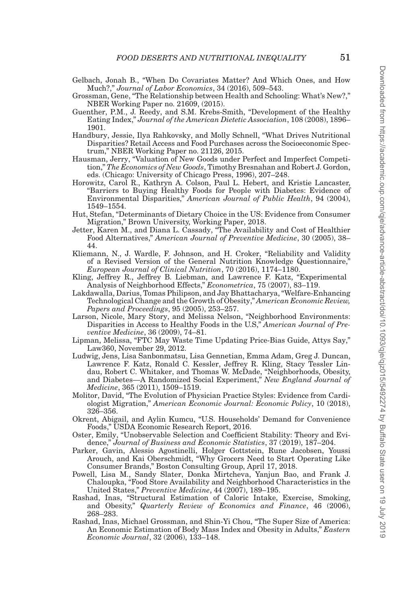- <span id="page-50-20"></span>Gelbach, Jonah B., "When Do Covariates Matter? And Which Ones, and How Much?," *Journal of Labor Economics*, 34 (2016), 509–543.
- <span id="page-50-12"></span>Grossman, Gene, "The Relationship between Health and Schooling: What's New?," NBER Working Paper no. 21609, (2015).
- <span id="page-50-14"></span>Guenther, P.M., J. Reedy, and S.M. Krebs-Smith, "Development of the Healthy Eating Index," *Journal of the American Dietetic Association*, 108 (2008), 1896– 1901.
- <span id="page-50-0"></span>Handbury, Jessie, Ilya Rahkovsky, and Molly Schnell, "What Drives Nutritional Disparities? Retail Access and Food Purchases across the Socioeconomic Spectrum," NBER Working Paper no. 21126, 2015.
- <span id="page-50-18"></span>Hausman, Jerry, "Valuation of New Goods under Perfect and Imperfect Competition," *The Economics of New Goods*, Timothy Bresnahan and Robert J. Gordon, eds. (Chicago: University of Chicago Press, 1996), 207–248.
- <span id="page-50-1"></span>Horowitz, Carol R., Kathryn A. Colson, Paul L. Hebert, and Kristie Lancaster, "Barriers to Buying Healthy Foods for People with Diabetes: Evidence of Environmental Disparities," *American Journal of Public Health*, 94 (2004), 1549–1554.
- <span id="page-50-8"></span>Hut, Stefan, "Determinants of Dietary Choice in the US: Evidence from Consumer Migration," Brown University, Working Paper, 2018.
- <span id="page-50-2"></span>Jetter, Karen M., and Diana L. Cassady, "The Availability and Cost of Healthier Food Alternatives," *American Journal of Preventive Medicine*, 30 (2005), 38– 44.
- <span id="page-50-13"></span>Kliemann, N., J. Wardle, F. Johnson, and H. Croker, "Reliability and Validity of a Revised Version of the General Nutrition Knowledge Questionnaire," *European Journal of Clinical Nutrition*, 70 (2016), 1174–1180.
- <span id="page-50-5"></span>Kling, Jeffrey R., Jeffrey B. Liebman, and Lawrence F. Katz, "Experimental Analysis of Neighborhood Effects," *Econometrica*, 75 (2007), 83–119.
- <span id="page-50-9"></span>Lakdawalla, Darius, Tomas Philipson, and Jay Bhattacharya, "Welfare-Enhancing Technological Change and the Growth of Obesity," *American Economic Review, Papers and Proceedings*, 95 (2005), 253–257.
- <span id="page-50-4"></span>Larson, Nicole, Mary Story, and Melissa Nelson, "Neighborhood Environments: Disparities in Access to Healthy Foods in the U.S," *American Journal of Preventive Medicine*, 36 (2009), 74–81.
- <span id="page-50-16"></span>Lipman, Melissa, "FTC May Waste Time Updating Price-Bias Guide, Attys Say," Law360, November 29, 2012.
- <span id="page-50-6"></span>Ludwig, Jens, Lisa Sanbonmatsu, Lisa Gennetian, Emma Adam, Greg J. Duncan, Lawrence F. Katz, Ronald C. Kessler, Jeffrey R. Kling, Stacy Tessler Lindau, Robert C. Whitaker, and Thomas W. McDade, "Neighborhoods, Obesity, and Diabetes—A Randomized Social Experiment," *New England Journal of Medicine*, 365 (2011), 1509–1519.
- <span id="page-50-7"></span>Molitor, David, "The Evolution of Physician Practice Styles: Evidence from Cardiologist Migration," *American Economic Journal: Economic Policy*, 10 (2018), 326–356.
- <span id="page-50-19"></span>Okrent, Abigail, and Aylin Kumcu, "U.S. Households' Demand for Convenience Foods," USDA Economic Research Report, 2016.
- <span id="page-50-15"></span>Oster, Emily, "Unobservable Selection and Coefficient Stability: Theory and Evidence," *Journal of Business and Economic Statistics*, 37 (2019), 187–204.
- <span id="page-50-17"></span>Parker, Gavin, Alessio Agostinelli, Holger Gottstein, Rune Jacobsen, Youssi Arouch, and Kai Oberschmidt, "Why Grocers Need to Start Operating Like Consumer Brands," Boston Consulting Group, April 17, 2018.
- <span id="page-50-3"></span>Powell, Lisa M., Sandy Slater, Donka Mirtcheva, Yanjun Bao, and Frank J. Chaloupka, "Food Store Availability and Neighborhood Characteristics in the United States," *Preventive Medicine*, 44 (2007), 189–195.
- <span id="page-50-10"></span>Rashad, Inas, "Structural Estimation of Caloric Intake, Exercise, Smoking, and Obesity," *Quarterly Review of Economics and Finance*, 46 (2006), 268–283.
- <span id="page-50-11"></span>Rashad, Inas, Michael Grossman, and Shin-Yi Chou, "The Super Size of America: An Economic Estimation of Body Mass Index and Obesity in Adults," *Eastern Economic Journal*, 32 (2006), 133–148.